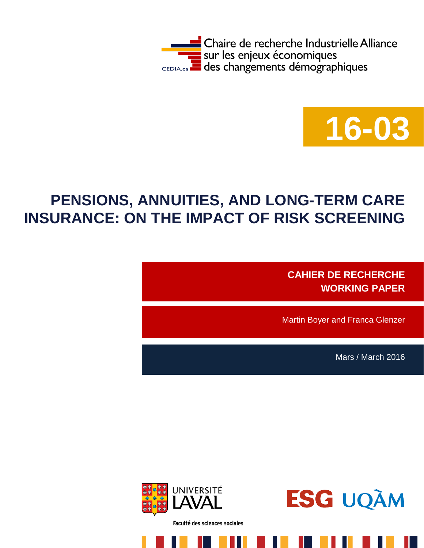



# **PENSIONS, ANNUITIES, AND LONG-TERM CARE INSURANCE: ON THE IMPACT OF RISK SCREENING**

**CAHIER DE RECHERCHE WORKING PAPER**

Martin Boyer and Franca Glenzer

Mars / March 2016



Faculté des sciences sociales

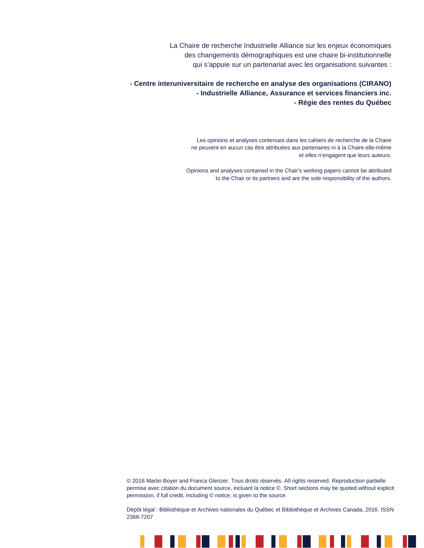La Chaire de recherche Industrielle Alliance sur les enjeux économiques des changements démographiques est une chaire bi-institutionnelle qui s'appuie sur un partenariat avec les organisations suivantes :

**- Centre interuniversitaire de recherche en analyse des organisations (CIRANO) - Industrielle Alliance, Assurance et services financiers inc. - Régie des rentes du Québec**

> Les opinions et analyses contenues dans les cahiers de recherche de la Chaire ne peuvent en aucun cas être attribuées aux partenaires ni à la Chaire elle-même et elles n'engagent que leurs auteurs.

Opinions and analyses contained in the Chair's working papers cannot be attributed to the Chair or its partners and are the sole responsibility of the authors.

© 2016 Martin Boyer and Franca Glenzer. Tous droits réservés. All rights reserved. Reproduction partielle permise avec citation du document source, incluant la notice ©. Short sections may be quoted without explicit permission, if full credit, including © notice, is given to the source.

Dépôt légal : Bibliothèque et Archives nationales du Québec et Bibliothèque et Archives Canada, 2016. ISSN 2368-7207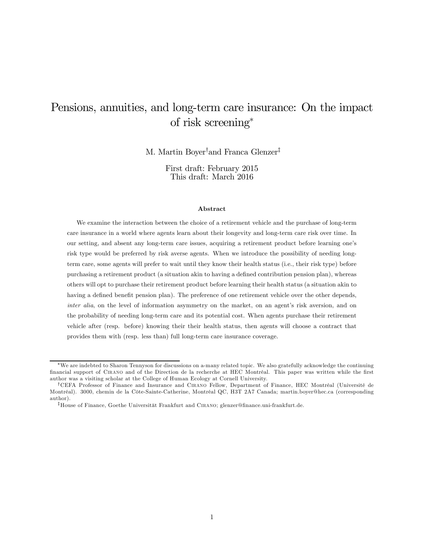## Pensions, annuities, and long-term care insurance: On the impact of risk screening<sup>∗</sup>

M. Martin Boyer† and Franca Glenzer‡

First draft: February 2015 This draft: March 2016

#### Abstract

We examine the interaction between the choice of a retirement vehicle and the purchase of long-term care insurance in a world where agents learn about their longevity and long-term care risk over time. In our setting, and absent any long-term care issues, acquiring a retirement product before learning one's risk type would be preferred by risk averse agents. When we introduce the possibility of needing longterm care, some agents will prefer to wait until they know their health status (i.e., their risk type) before purchasing a retirement product (a situation akin to having a defined contribution pension plan), whereas others will opt to purchase their retirement product before learning their health status (a situation akin to having a defined benefit pension plan). The preference of one retirement vehicle over the other depends, inter alia, on the level of information asymmetry on the market, on an agent's risk aversion, and on the probability of needing long-term care and its potential cost. When agents purchase their retirement vehicle after (resp. before) knowing their their health status, then agents will choose a contract that provides them with (resp. less than) full long-term care insurance coverage.

<sup>∗</sup>We are indebted to Sharon Tennyson for discussions on a-many related topic. We also gratefully acknowledge the continuing financial support of Cirano and of the Direction de la recherche at HEC Montréal. This paper was written while the first author was a visiting scholar at the College of Human Ecology at Cornell University.

<sup>†</sup>CEFA Professor of Finance and Insurance and Cirano Fellow, Department of Finance, HEC Montréal (Université de Montréal). 3000, chemin de la Côte-Sainte-Catherine, Montréal QC, H3T 2A7 Canada; martin.boyer@hec.ca (corresponding author).

<sup>‡</sup>House of Finance, Goethe Universität Frankfurt and Cirano; glenzer@finance.uni-frankfurt.de.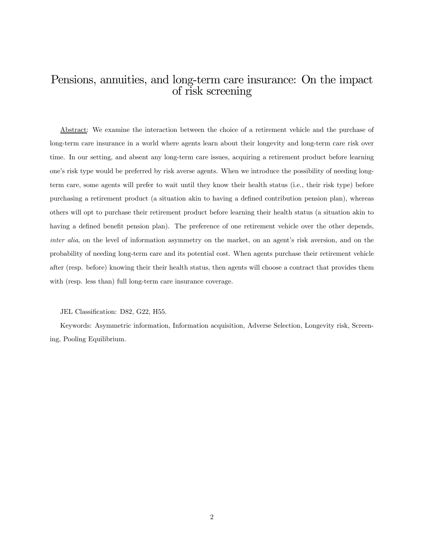## Pensions, annuities, and long-term care insurance: On the impact of risk screening

Abstract: We examine the interaction between the choice of a retirement vehicle and the purchase of long-term care insurance in a world where agents learn about their longevity and long-term care risk over time. In our setting, and absent any long-term care issues, acquiring a retirement product before learning one's risk type would be preferred by risk averse agents. When we introduce the possibility of needing longterm care, some agents will prefer to wait until they know their health status (i.e., their risk type) before purchasing a retirement product (a situation akin to having a defined contribution pension plan), whereas others will opt to purchase their retirement product before learning their health status (a situation akin to having a defined benefit pension plan). The preference of one retirement vehicle over the other depends, inter alia, on the level of information asymmetry on the market, on an agent's risk aversion, and on the probability of needing long-term care and its potential cost. When agents purchase their retirement vehicle after (resp. before) knowing their their health status, then agents will choose a contract that provides them with (resp. less than) full long-term care insurance coverage.

JEL Classification: D82, G22, H55.

Keywords: Asymmetric information, Information acquisition, Adverse Selection, Longevity risk, Screening, Pooling Equilibrium.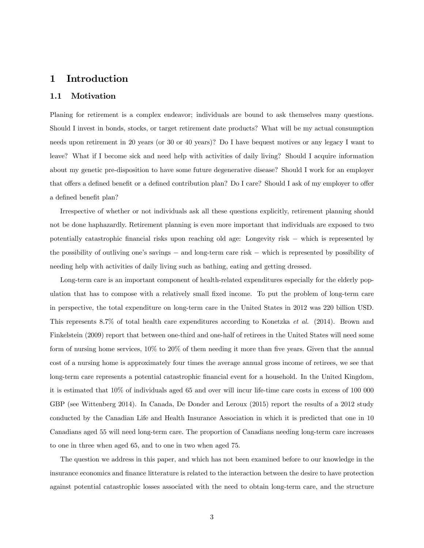## 1 Introduction

#### 1.1 Motivation

Planing for retirement is a complex endeavor; individuals are bound to ask themselves many questions. Should I invest in bonds, stocks, or target retirement date products? What will be my actual consumption needs upon retirement in 20 years (or 30 or 40 years)? Do I have bequest motives or any legacy I want to leave? What if I become sick and need help with activities of daily living? Should I acquire information about my genetic pre-disposition to have some future degenerative disease? Should I work for an employer that offers a defined benefit or a defined contribution plan? Do I care? Should I ask of my employer to offer a defined benefit plan?

Irrespective of whether or not individuals ask all these questions explicitly, retirement planning should not be done haphazardly. Retirement planning is even more important that individuals are exposed to two potentially catastrophic financial risks upon reaching old age: Longevity risk − which is represented by the possibility of outliving one's savings − and long-term care risk − which is represented by possibility of needing help with activities of daily living such as bathing, eating and getting dressed.

Long-term care is an important component of health-related expenditures especially for the elderly population that has to compose with a relatively small fixed income. To put the problem of long-term care in perspective, the total expenditure on long-term care in the United States in 2012 was 220 billion USD. This represents 8.7% of total health care expenditures according to Konetzka et al. (2014). Brown and Finkelstein (2009) report that between one-third and one-half of retirees in the United States will need some form of nursing home services, 10% to 20% of them needing it more than five years. Given that the annual cost of a nursing home is approximately four times the average annual gross income of retirees, we see that long-term care represents a potential catastrophic financial event for a household. In the United Kingdom, it is estimated that 10% of individuals aged 65 and over will incur life-time care costs in excess of 100 000 GBP (see Wittenberg 2014). In Canada, De Donder and Leroux (2015) report the results of a 2012 study conducted by the Canadian Life and Health Insurance Association in which it is predicted that one in 10 Canadians aged 55 will need long-term care. The proportion of Canadians needing long-term care increases to one in three when aged 65, and to one in two when aged 75.

The question we address in this paper, and which has not been examined before to our knowledge in the insurance economics and finance litterature is related to the interaction between the desire to have protection against potential catastrophic losses associated with the need to obtain long-term care, and the structure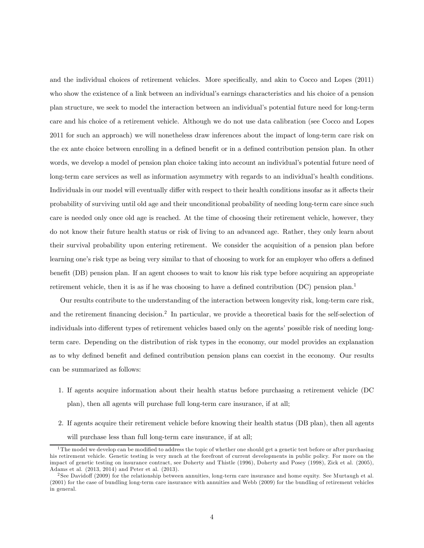and the individual choices of retirement vehicles. More specifically, and akin to Cocco and Lopes (2011) who show the existence of a link between an individual's earnings characteristics and his choice of a pension plan structure, we seek to model the interaction between an individual's potential future need for long-term care and his choice of a retirement vehicle. Although we do not use data calibration (see Cocco and Lopes 2011 for such an approach) we will nonetheless draw inferences about the impact of long-term care risk on the ex ante choice between enrolling in a defined benefit or in a defined contribution pension plan. In other words, we develop a model of pension plan choice taking into account an individual's potential future need of long-term care services as well as information asymmetry with regards to an individual's health conditions. Individuals in our model will eventually differ with respect to their health conditions insofar as it affects their probability of surviving until old age and their unconditional probability of needing long-term care since such care is needed only once old age is reached. At the time of choosing their retirement vehicle, however, they do not know their future health status or risk of living to an advanced age. Rather, they only learn about their survival probability upon entering retirement. We consider the acquisition of a pension plan before learning one's risk type as being very similar to that of choosing to work for an employer who offers a defined benefit (DB) pension plan. If an agent chooses to wait to know his risk type before acquiring an appropriate retirement vehicle, then it is as if he was choosing to have a defined contribution  $(DC)$  pension plan.<sup>1</sup>

Our results contribute to the understanding of the interaction between longevity risk, long-term care risk, and the retirement financing decision.2 In particular, we provide a theoretical basis for the self-selection of individuals into different types of retirement vehicles based only on the agents' possible risk of needing longterm care. Depending on the distribution of risk types in the economy, our model provides an explanation as to why defined benefit and defined contribution pension plans can coexist in the economy. Our results can be summarized as follows:

- 1. If agents acquire information about their health status before purchasing a retirement vehicle (DC plan), then all agents will purchase full long-term care insurance, if at all;
- 2. If agents acquire their retirement vehicle before knowing their health status (DB plan), then all agents will purchase less than full long-term care insurance, if at all;

 $^1$ The model we develop can be modified to address the topic of whether one should get a genetic test before or after purchasing his retirement vehicle. Genetic testing is very much at the forefront of current developments in public policy. For more on the impact of genetic testing on insurance contract, see Doherty and Thistle (1996), Doherty and Posey (1998), Zick et al. (2005), Adams et al. (2013, 2014) and Peter et al. (2013).

<sup>2</sup> See Davidoff (2009) for the relationship between annuities, long-term care insurance and home equity. See Murtaugh et al. (2001) for the case of bundling long-term care insurance with annuities and Webb (2009) for the bundling of retirement vehicles in general.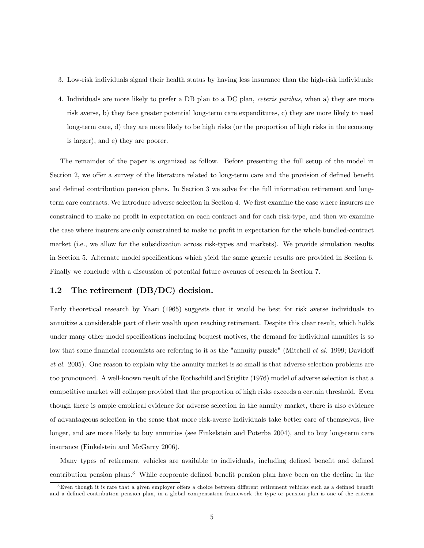- 3. Low-risk individuals signal their health status by having less insurance than the high-risk individuals;
- 4. Individuals are more likely to prefer a DB plan to a DC plan, ceteris paribus, when a) they are more risk averse, b) they face greater potential long-term care expenditures, c) they are more likely to need long-term care, d) they are more likely to be high risks (or the proportion of high risks in the economy is larger), and e) they are poorer.

The remainder of the paper is organized as follow. Before presenting the full setup of the model in Section 2, we offer a survey of the literature related to long-term care and the provision of defined benefit and defined contribution pension plans. In Section 3 we solve for the full information retirement and longterm care contracts. We introduce adverse selection in Section 4. We first examine the case where insurers are constrained to make no profit in expectation on each contract and for each risk-type, and then we examine the case where insurers are only constrained to make no profit in expectation for the whole bundled-contract market (i.e., we allow for the subsidization across risk-types and markets). We provide simulation results in Section 5. Alternate model specifications which yield the same generic results are provided in Section 6. Finally we conclude with a discussion of potential future avenues of research in Section 7.

#### 1.2 The retirement (DB/DC) decision.

Early theoretical research by Yaari (1965) suggests that it would be best for risk averse individuals to annuitize a considerable part of their wealth upon reaching retirement. Despite this clear result, which holds under many other model specifications including bequest motives, the demand for individual annuities is so low that some financial economists are referring to it as the "annuity puzzle" (Mitchell et al. 1999; Davidoff et al. 2005). One reason to explain why the annuity market is so small is that adverse selection problems are too pronounced. A well-known result of the Rothschild and Stiglitz (1976) model of adverse selection is that a competitive market will collapse provided that the proportion of high risks exceeds a certain threshold. Even though there is ample empirical evidence for adverse selection in the annuity market, there is also evidence of advantageous selection in the sense that more risk-averse individuals take better care of themselves, live longer, and are more likely to buy annuities (see Finkelstein and Poterba 2004), and to buy long-term care insurance (Finkelstein and McGarry 2006).

Many types of retirement vehicles are available to individuals, including defined benefit and defined contribution pension plans.<sup>3</sup> While corporate defined benefit pension plan have been on the decline in the

 $3$ Even though it is rare that a given employer offers a choice between different retirement vehicles such as a defined benefit and a defined contribution pension plan, in a global compensation framework the type or pension plan is one of the criteria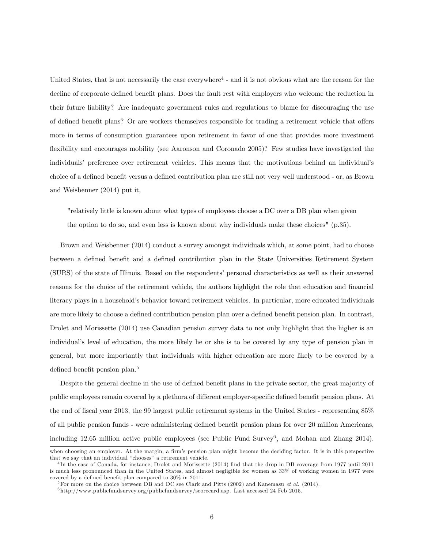United States, that is not necessarily the case everywhere $4$  - and it is not obvious what are the reason for the decline of corporate defined benefit plans. Does the fault rest with employers who welcome the reduction in their future liability? Are inadequate government rules and regulations to blame for discouraging the use of defined benefit plans? Or are workers themselves responsible for trading a retirement vehicle that offers more in terms of consumption guarantees upon retirement in favor of one that provides more investment flexibility and encourages mobility (see Aaronson and Coronado 2005)? Few studies have investigated the individuals' preference over retirement vehicles. This means that the motivations behind an individual's choice of a defined benefit versus a defined contribution plan are still not very well understood - or, as Brown and Weisbenner (2014) put it,

"relatively little is known about what types of employees choose a DC over a DB plan when given the option to do so, and even less is known about why individuals make these choices" (p.35).

Brown and Weisbenner (2014) conduct a survey amongst individuals which, at some point, had to choose between a defined benefit and a defined contribution plan in the State Universities Retirement System (SURS) of the state of Illinois. Based on the respondents' personal characteristics as well as their answered reasons for the choice of the retirement vehicle, the authors highlight the role that education and financial literacy plays in a household's behavior toward retirement vehicles. In particular, more educated individuals are more likely to choose a defined contribution pension plan over a defined benefit pension plan. In contrast, Drolet and Morissette (2014) use Canadian pension survey data to not only highlight that the higher is an individual's level of education, the more likely he or she is to be covered by any type of pension plan in general, but more importantly that individuals with higher education are more likely to be covered by a defined benefit pension plan.<sup>5</sup>

Despite the general decline in the use of defined benefit plans in the private sector, the great majority of public employees remain covered by a plethora of different employer-specific defined benefit pension plans. At the end of fiscal year 2013, the 99 largest public retirement systems in the United States - representing 85% of all public pension funds - were administering defined benefit pension plans for over 20 million Americans, including 12.65 million active public employees (see Public Fund Survey<sup>6</sup>, and Mohan and Zhang 2014).

when choosing an employer. At the margin, a firm's pension plan might become the deciding factor. It is in this perspective that we say that an individual "chooses" a retirement vehicle.

<sup>4</sup> In the case of Canada, for instance, Drolet and Morissette (2014) find that the drop in DB coverage from 1977 until 2011 is much less pronounced than in the United States, and almost negligible for women as 33% of working women in 1977 were covered by a defined benefit plan compared to 30% in 2011.

<sup>&</sup>lt;sup>5</sup>For more on the choice between DB and DC see Clark and Pitts (2002) and Kanemasu *et al.* (2014).

<sup>6</sup> http://www.publicfundsurvey.org/publicfundsurvey/scorecard.asp. Last accessed 24 Feb 2015.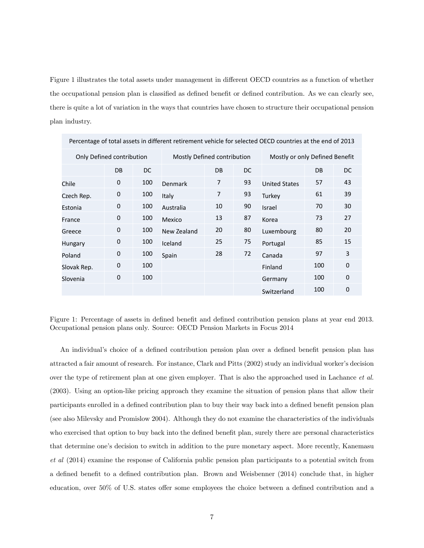Figure 1 illustrates the total assets under management in different OECD countries as a function of whether the occupational pension plan is classified as defined benefit or defined contribution. As we can clearly see, there is quite a lot of variation in the ways that countries have chosen to structure their occupational pension plan industry.

| Percentage of total assets in unferent retirement vehicle for selected OLCD countries at the end of 2013 |             |                             |             |                |                                |                      |     |             |
|----------------------------------------------------------------------------------------------------------|-------------|-----------------------------|-------------|----------------|--------------------------------|----------------------|-----|-------------|
| Only Defined contribution                                                                                |             | Mostly Defined contribution |             |                | Mostly or only Defined Benefit |                      |     |             |
|                                                                                                          | DB          | DC.                         |             | <b>DB</b>      | DC                             |                      | DB  | DC.         |
| Chile                                                                                                    | 0           | 100                         | Denmark     | $\overline{7}$ | 93                             | <b>United States</b> | 57  | 43          |
| Czech Rep.                                                                                               | 0           | 100                         | Italy       | $\overline{7}$ | 93                             | Turkey               | 61  | 39          |
| Estonia                                                                                                  | 0           | 100                         | Australia   | 10             | 90                             | Israel               | 70  | 30          |
| France                                                                                                   | $\mathbf 0$ | 100                         | Mexico      | 13             | 87                             | Korea                | 73  | 27          |
| Greece                                                                                                   | 0           | 100                         | New Zealand | 20             | 80                             | Luxembourg           | 80  | 20          |
| Hungary                                                                                                  | $\mathbf 0$ | 100                         | Iceland     | 25             | 75                             | Portugal             | 85  | 15          |
| Poland                                                                                                   | 0           | 100                         | Spain       | 28             | 72                             | Canada               | 97  | 3           |
| Slovak Rep.                                                                                              | $\mathbf 0$ | 100                         |             |                |                                | Finland              | 100 | $\mathbf 0$ |
| Slovenia                                                                                                 | 0           | 100                         |             |                |                                | Germany              | 100 | $\mathbf 0$ |
|                                                                                                          |             |                             |             |                |                                | Switzerland          | 100 | 0           |

Percentage of total assets in different retirement vehicle for selected OECD countries at the end of 2013

Figure 1: Percentage of assets in defined benefit and defined contribution pension plans at year end 2013. Occupational pension plans only. Source: OECD Pension Markets in Focus 2014

An individual's choice of a defined contribution pension plan over a defined benefit pension plan has attracted a fair amount of research. For instance, Clark and Pitts (2002) study an individual worker's decision over the type of retirement plan at one given employer. That is also the approached used in Lachance *et al.* (2003). Using an option-like pricing approach they examine the situation of pension plans that allow their participants enrolled in a defined contribution plan to buy their way back into a defined benefit pension plan (see also Milevsky and Promislow 2004). Although they do not examine the characteristics of the individuals who exercised that option to buy back into the defined benefit plan, surely there are personal characteristics that determine one's decision to switch in addition to the pure monetary aspect. More recently, Kanemasu et al (2014) examine the response of California public pension plan participants to a potential switch from a defined benefit to a defined contribution plan. Brown and Weisbenner (2014) conclude that, in higher education, over 50% of U.S. states offer some employees the choice between a defined contribution and a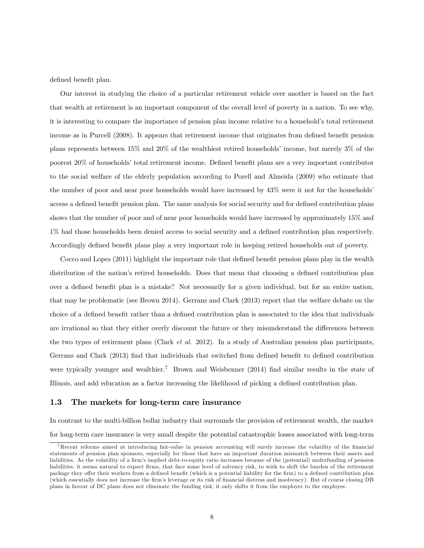defined benefit plan.

Our interest in studying the choice of a particular retirement vehicle over another is based on the fact that wealth at retirement is an important component of the overall level of poverty in a nation. To see why, it is interesting to compare the importance of pension plan income relative to a household's total retirement income as in Purcell (2008). It appears that retirement income that originates from defined benefit pension plans represents between 15% and 20% of the wealthiest retired households' income, but merely 3% of the poorest 20% of households' total retirement income. Defined benefit plans are a very important contributor to the social welfare of the elderly population according to Porell and Almeida (2009) who estimate that the number of poor and near poor households would have increased by 43% were it not for the households' access a defined benefit pension plan. The same analysis for social security and for defined contribution plans shows that the number of poor and of near poor households would have increased by approximately 15% and 1% had those households been denied access to social security and a defined contribution plan respectively. Accordingly defined benefit plans play a very important role in keeping retired households out of poverty.

Cocco and Lopes (2011) highlight the important role that defined benefit pension plans play in the wealth distribution of the nation's retired households. Does that mean that choosing a defined contribution plan over a defined benefit plan is a mistake? Not necessarily for a given individual, but for an entire nation, that may be problematic (see Brown 2014). Gerrans and Clark (2013) report that the welfare debate on the choice of a defined benefit rather than a defined contribution plan is associated to the idea that individuals are irrational so that they either overly discount the future or they misunderstand the differences between the two types of retirement plans (Clark et al. 2012). In a study of Australian pension plan participants, Gerrans and Clark (2013) find that individuals that switched from defined benefit to defined contribution were typically younger and wealthier.<sup>7</sup> Brown and Weisbenner (2014) find similar results in the state of Illinois, and add education as a factor increasing the likelihood of picking a defined contribution plan.

#### 1.3 The markets for long-term care insurance

In contrast to the multi-billion bollar industry that surrounds the provision of retirement wealth, the market for long-term care insurance is very small despite the potential catastrophic losses associated with long-term

<sup>7</sup>Recent reforms aimed at introducing fair-value in pension accounting will surely increase the volatility of the financial statements of pension plan sponsors, especially for those that have an important duration mismatch between their assets and liabilities. As the volatility of a firm's implied debt-to-equity ratio increases because of the (potential) underfunding of pension liabilities, it seems natural to expect firms, that face some level of solvency risk, to wish to shift the burden of the retirement package they offer their workers from a defined benefit (which is a potential liability for the firm) to a defined contribution plan (which essentially does not increase the firm's leverage or its risk of financial distress and insolvency). But of course closing DB plans in favour of DC plans does not eliminate the funding risk; it only shifts it from the employer to the employee.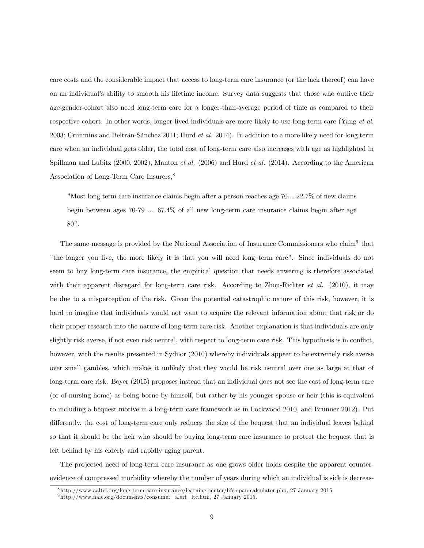care costs and the considerable impact that access to long-term care insurance (or the lack thereof) can have on an individual's ability to smooth his lifetime income. Survey data suggests that those who outlive their age-gender-cohort also need long-term care for a longer-than-average period of time as compared to their respective cohort. In other words, longer-lived individuals are more likely to use long-term care (Yang et al. 2003; Crimmins and Beltrán-Sánchez 2011; Hurd *et al.* 2014). In addition to a more likely need for long term care when an individual gets older, the total cost of long-term care also increases with age as highlighted in Spillman and Lubitz (2000, 2002), Manton et al. (2006) and Hurd et al. (2014). According to the American Association of Long-Term Care Insurers,<sup>8</sup>

"Most long term care insurance claims begin after a person reaches age 70... 22.7% of new claims begin between ages 70-79 ... 67.4% of all new long-term care insurance claims begin after age 80".

The same message is provided by the National Association of Insurance Commissioners who claim9 that "the longer you live, the more likely it is that you will need long—term care". Since individuals do not seem to buy long-term care insurance, the empirical question that needs anwering is therefore associated with their apparent disregard for long-term care risk. According to Zhou-Richter *et al.* (2010), it may be due to a misperception of the risk. Given the potential catastrophic nature of this risk, however, it is hard to imagine that individuals would not want to acquire the relevant information about that risk or do their proper research into the nature of long-term care risk. Another explanation is that individuals are only slightly risk averse, if not even risk neutral, with respect to long-term care risk. This hypothesis is in conflict, however, with the results presented in Sydnor (2010) whereby individuals appear to be extremely risk averse over small gambles, which makes it unlikely that they would be risk neutral over one as large at that of long-term care risk. Boyer (2015) proposes instead that an individual does not see the cost of long-term care (or of nursing home) as being borne by himself, but rather by his younger spouse or heir (this is equivalent to including a bequest motive in a long-term care framework as in Lockwood 2010, and Brunner 2012). Put differently, the cost of long-term care only reduces the size of the bequest that an individual leaves behind so that it should be the heir who should be buying long-term care insurance to protect the bequest that is left behind by his elderly and rapidly aging parent.

The projected need of long-term care insurance as one grows older holds despite the apparent counterevidence of compressed morbidity whereby the number of years during which an individual is sick is decreas-

<sup>8</sup> http://www.aaltci.org/long-term-care-insurance/learning-center/life-span-calculator.php, 27 January 2015.

 $9$ http://www.naic.org/documents/consumer\_alert\_ltc.htm, 27 January 2015.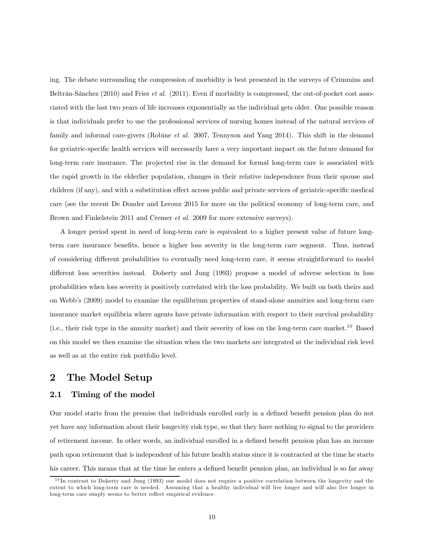ing. The debate surrounding the compression of morbidity is best presented in the surveys of Crimmins and Beltrán-Sánchez (2010) and Fries et al. (2011). Even if morbidity is compressed, the out-of-pocket cost associated with the last two years of life increases exponentially as the individual gets older. One possible reason is that individuals prefer to use the professional services of nursing homes instead of the natural services of family and informal care-givers (Robine *et al.* 2007, Tennyson and Yang 2014). This shift in the demand for geriatric-specific health services will necessarily have a very important impact on the future demand for long-term care insurance. The projected rise in the demand for formal long-term care is associated with the rapid growth in the elderlier population, changes in their relative independence from their spouse and children (if any), and with a substitution effect across public and private services of geriatric-specific medical care (see the recent De Donder and Leroux 2015 for more on the political economy of long-term care, and Brown and Finkelstein 2011 and Cremer et al. 2009 for more extensive surveys).

A longer period spent in need of long-term care is equivalent to a higher present value of future longterm care insurance benefits, hence a higher loss severity in the long-term care segment. Thus, instead of considering different probabilities to eventually need long-term care, it seems straightforward to model different loss severities instead. Doherty and Jung (1993) propose a model of adverse selection in loss probabilities when loss severity is positively correlated with the loss probability. We built on both theirs and on Webb's (2009) model to examine the equilibrium properties of stand-alone annuities and long-term care insurance market equilibria where agents have private information with respect to their survival probability (i.e., their risk type in the annuity market) and their severity of loss on the long-term care market.<sup>10</sup> Based on this model we then examine the situation when the two markets are integrated at the individual risk level as well as at the entire risk portfolio level.

## 2 The Model Setup

### 2.1 Timing of the model

Our model starts from the premise that individuals enrolled early in a defined benefit pension plan do not yet have any information about their longevity risk type, so that they have nothing to signal to the providers of retirement income. In other words, an individual enrolled in a defined benefit pension plan has an income path upon retirement that is independent of his future health status since it is contracted at the time he starts his career. This means that at the time he enters a defined benefit pension plan, an individual is so far away

 $10$  In contrast to Doherty and Jung (1993) our model does not require a positive correlation between the longevity and the extent to which long-term care is needed. Assuming that a healthy individual will live longer and will also live longer in long-term care simply seems to better reflect empirical evidence.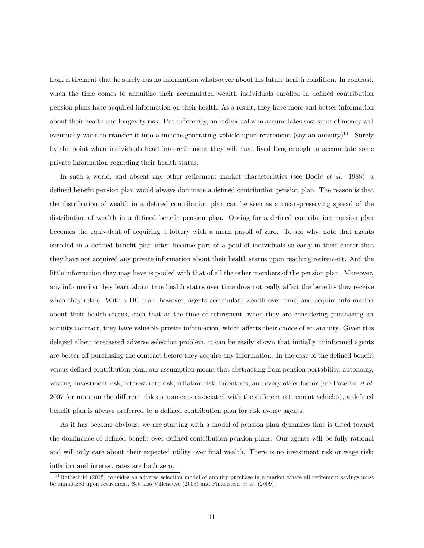from retirement that he surely has no information whatsoever about his future health condition. In contrast, when the time comes to annuitize their accumulated wealth individuals enrolled in defined contribution pension plans have acquired information on their health. As a result, they have more and better information about their health and longevity risk. Put differently, an individual who accumulates vast sums of money will eventually want to transfer it into a income-generating vehicle upon retirement (say an annuity)<sup>11</sup>. Surely by the point when individuals head into retirement they will have lived long enough to accumulate some private information regarding their health status.

In such a world, and absent any other retirement market characteristics (see Bodie et al. 1988), a defined benefit pension plan would always dominate a defined contribution pension plan. The reason is that the distribution of wealth in a defined contribution plan can be seen as a mean-preserving spread of the distribution of wealth in a defined benefit pension plan. Opting for a defined contribution pension plan becomes the equivalent of acquiring a lottery with a mean payoff of zero. To see why, note that agents enrolled in a defined benefit plan often become part of a pool of individuals so early in their career that they have not acquired any private information about their health status upon reaching retirement. And the little information they may have is pooled with that of all the other members of the pension plan. Moreover, any information they learn about true health status over time does not really affect the benefits they receive when they retire. With a DC plan, however, agents accumulate wealth over time, and acquire information about their health status, such that at the time of retirement, when they are considering purchasing an annuity contract, they have valuable private information, which affects their choice of an annuity. Given this delayed albeit forecasted adverse selection problem, it can be easily shown that initially uninformed agents are better off purchasing the contract before they acquire any information. In the case of the defined benefit versus defined contribution plan, our assumption means that abstracting from pension portability, autonomy, vesting, investment risk, interest rate risk, inflation risk, incentives, and every other factor (see Poterba et al. 2007 for more on the different risk components associated with the different retirement vehicles), a defined benefit plan is always preferred to a defined contribution plan for risk averse agents.

As it has become obvious, we are starting with a model of pension plan dynamics that is tilted toward the dominance of defined benefit over defined contribution pension plans. Our agents will be fully rational and will only care about their expected utility over final wealth. There is no investment risk or wage risk; inflation and interest rates are both zero.

 $11$ Rothschild (2015) provides an adverse selection model of annuity purchase in a market where all retirement savings must be annuitized upon retirement. See also Villeneuve (2003) and Finkelstein  $et$  al. (2009).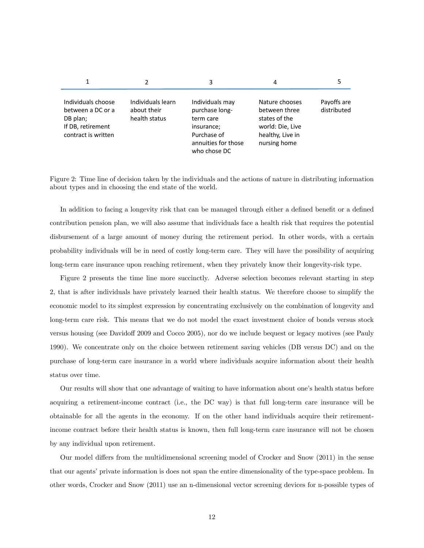|                                                                                                 |                                                   | 3                                                                                                                  | 4                                                                                                        |                            |
|-------------------------------------------------------------------------------------------------|---------------------------------------------------|--------------------------------------------------------------------------------------------------------------------|----------------------------------------------------------------------------------------------------------|----------------------------|
| Individuals choose<br>between a DC or a<br>DB plan;<br>If DB, retirement<br>contract is written | Individuals learn<br>about their<br>health status | Individuals may<br>purchase long-<br>term care<br>insurance;<br>Purchase of<br>annuities for those<br>who chose DC | Nature chooses<br>between three<br>states of the<br>world: Die, Live<br>healthy, Live in<br>nursing home | Payoffs are<br>distributed |

Figure 2: Time line of decision taken by the individuals and the actions of nature in distributing information about types and in choosing the end state of the world.

In addition to facing a longevity risk that can be managed through either a defined benefit or a defined contribution pension plan, we will also assume that individuals face a health risk that requires the potential disbursement of a large amount of money during the retirement period. In other words, with a certain probability individuals will be in need of costly long-term care. They will have the possibility of acquiring long-term care insurance upon reaching retirement, when they privately know their longevity-risk type.

Figure 2 presents the time line more succinctly. Adverse selection becomes relevant starting in step 2, that is after individuals have privately learned their health status. We therefore choose to simplify the economic model to its simplest expression by concentrating exclusively on the combination of longevity and long-term care risk. This means that we do not model the exact investment choice of bonds versus stock versus housing (see Davidoff 2009 and Cocco 2005), nor do we include bequest or legacy motives (see Pauly 1990). We concentrate only on the choice between retirement saving vehicles (DB versus DC) and on the purchase of long-term care insurance in a world where individuals acquire information about their health status over time.

Our results will show that one advantage of waiting to have information about one's health status before acquiring a retirement-income contract (i.e., the DC way) is that full long-term care insurance will be obtainable for all the agents in the economy. If on the other hand individuals acquire their retirementincome contract before their health status is known, then full long-term care insurance will not be chosen by any individual upon retirement.

Our model differs from the multidimensional screening model of Crocker and Snow (2011) in the sense that our agents' private information is does not span the entire dimensionality of the type-space problem. In other words, Crocker and Snow (2011) use an n-dimensional vector screening devices for n-possible types of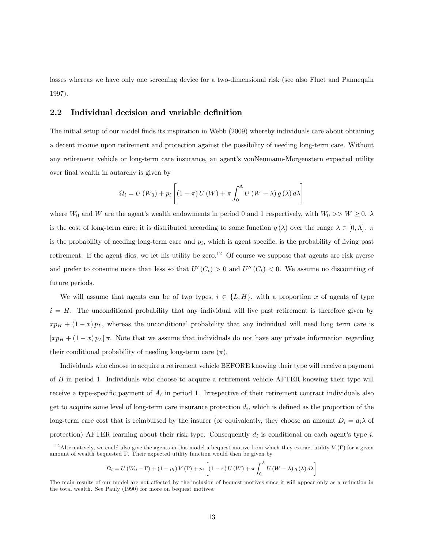losses whereas we have only one screening device for a two-dimensional risk (see also Fluet and Pannequin 1997).

#### 2.2 Individual decision and variable definition

The initial setup of our model finds its inspiration in Webb (2009) whereby individuals care about obtaining a decent income upon retirement and protection against the possibility of needing long-term care. Without any retirement vehicle or long-term care insurance, an agent's vonNeumann-Morgenstern expected utility over final wealth in autarchy is given by

$$
\Omega_i = U(W_0) + p_i \left[ (1 - \pi) U(W) + \pi \int_0^{\Lambda} U(W - \lambda) g(\lambda) d\lambda \right]
$$

where  $W_0$  and W are the agent's wealth endowments in period 0 and 1 respectively, with  $W_0 >> W \ge 0$ .  $\lambda$ is the cost of long-term care; it is distributed according to some function  $g(\lambda)$  over the range  $\lambda \in [0,\Lambda]$ . is the probability of needing long-term care and  $p_i$ , which is agent specific, is the probability of living past retirement. If the agent dies, we let his utility be zero.<sup>12</sup> Of course we suppose that agents are risk averse and prefer to consume more than less so that  $U'(C_t) > 0$  and  $U''(C_t) < 0$ . We assume no discounting of future periods.

We will assume that agents can be of two types,  $i \in \{L, H\}$ , with a proportion x of agents of type  $i = H$ . The unconditional probability that any individual will live past retirement is therefore given by  $xp_H + (1-x)p_L$ , whereas the unconditional probability that any individual will need long term care is  $[xp_H + (1-x)p_L]\pi$ . Note that we assume that individuals do not have any private information regarding their conditional probability of needing long-term care  $(\pi)$ .

Individuals who choose to acquire a retirement vehicle BEFORE knowing their type will receive a payment of  $B$  in period 1. Individuals who choose to acquire a retirement vehicle AFTER knowing their type will receive a type-specific payment of  $A_i$  in period 1. Irrespective of their retirement contract individuals also get to acquire some level of long-term care insurance protection  $d_i$ , which is defined as the proportion of the long-term care cost that is reimbursed by the insurer (or equivalently, they choose an amount  $D_i = d_i \lambda$  of protection) AFTER learning about their risk type. Consequently  $d_i$  is conditional on each agent's type i.

$$
\Omega_i = U(W_0 - \Gamma) + (1 - p_i) V(\Gamma) + p_i \left[ (1 - \pi) U(W) + \pi \int_0^{\Lambda} U(W - \lambda) g(\lambda) d\lambda \right]
$$

<sup>&</sup>lt;sup>12</sup>Alternatively, we could also give the agents in this model a bequest motive from which they extract utility  $V(\Gamma)$  for a given amount of wealth bequested  $\Gamma$ . Their expected utility function would then be given by

The main results of our model are not affected by the inclusion of bequest motives since it will appear only as a reduction in the total wealth. See Pauly (1990) for more on bequest motives.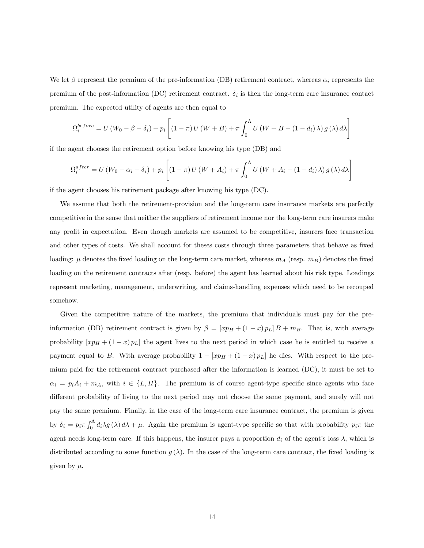We let  $\beta$  represent the premium of the pre-information (DB) retirement contract, whereas  $\alpha_i$  represents the premium of the post-information (DC) retirement contract.  $\delta_i$  is then the long-term care insurance contact premium. The expected utility of agents are then equal to

$$
\Omega_i^{before} = U(W_0 - \beta - \delta_i) + p_i \left[ (1 - \pi) U(W + B) + \pi \int_0^{\Lambda} U(W + B - (1 - d_i) \lambda) g(\lambda) d\lambda \right]
$$

if the agent chooses the retirement option before knowing his type (DB) and

$$
\Omega_i^{after} = U(W_0 - \alpha_i - \delta_i) + p_i \left[ (1 - \pi) U(W + A_i) + \pi \int_0^{\Lambda} U(W + A_i - (1 - d_i) \lambda) g(\lambda) d\lambda \right]
$$

if the agent chooses his retirement package after knowing his type (DC).

We assume that both the retirement-provision and the long-term care insurance markets are perfectly competitive in the sense that neither the suppliers of retirement income nor the long-term care insurers make any profit in expectation. Even though markets are assumed to be competitive, insurers face transaction and other types of costs. We shall account for theses costs through three parameters that behave as fixed loading:  $\mu$  denotes the fixed loading on the long-term care market, whereas  $m_A$  (resp.  $m_B$ ) denotes the fixed loading on the retirement contracts after (resp. before) the agent has learned about his risk type. Loadings represent marketing, management, underwriting, and claims-handling expenses which need to be recouped somehow.

Given the competitive nature of the markets, the premium that individuals must pay for the preinformation (DB) retirement contract is given by  $\beta = [xp_H + (1-x)p_L]B + m_B$ . That is, with average probability  $[xp_H + (1-x)p_L]$  the agent lives to the next period in which case he is entitled to receive a payment equal to B. With average probability  $1 - [xp_H + (1 - x)p_L]$  he dies. With respect to the premium paid for the retirement contract purchased after the information is learned (DC), it must be set to  $\alpha_i = p_i A_i + m_A$ , with  $i \in \{L, H\}$ . The premium is of course agent-type specific since agents who face different probability of living to the next period may not choose the same payment, and surely will not pay the same premium. Finally, in the case of the long-term care insurance contract, the premium is given by  $\delta_i = p_i \pi \int_0^{\Lambda} d_i \lambda g(\lambda) d\lambda + \mu$ . Again the premium is agent-type specific so that with probability  $p_i \pi$  the agent needs long-term care. If this happens, the insurer pays a proportion  $d_i$  of the agent's loss  $\lambda$ , which is distributed according to some function  $g(\lambda)$ . In the case of the long-term care contract, the fixed loading is given by  $\mu$ .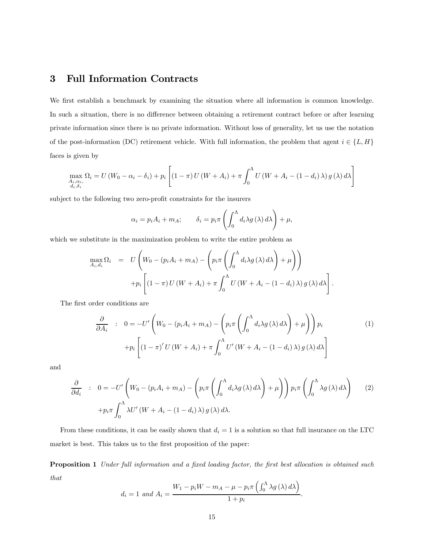## 3 Full Information Contracts

We first establish a benchmark by examining the situation where all information is common knowledge. In such a situation, there is no difference between obtaining a retirement contract before or after learning private information since there is no private information. Without loss of generality, let us use the notation of the post-information (DC) retirement vehicle. With full information, the problem that agent  $i \in \{L, H\}$ faces is given by

$$
\max_{\substack{A_i, \alpha_i, \\ d_i, \delta_i}} \Omega_i = U(W_0 - \alpha_i - \delta_i) + p_i \left[ (1 - \pi) U(W + A_i) + \pi \int_0^{\Lambda} U(W + A_i - (1 - d_i) \lambda) g(\lambda) d\lambda \right]
$$

subject to the following two zero-profit constraints for the insurers

$$
\alpha_i = p_i A_i + m_A; \qquad \delta_i = p_i \pi \left( \int_0^{\Lambda} d_i \lambda g(\lambda) d\lambda \right) + \mu,
$$

which we substitute in the maximization problem to write the entire problem as

$$
\max_{A_i, d_i} \Omega_i = U \left( W_0 - (p_i A_i + m_A) - \left( p_i \pi \left( \int_0^{\Lambda} d_i \lambda g(\lambda) d\lambda \right) + \mu \right) \right)
$$

$$
+ p_i \left[ (1 - \pi) U (W + A_i) + \pi \int_0^{\Lambda} U (W + A_i - (1 - d_i) \lambda) g(\lambda) d\lambda \right].
$$

The first order conditions are

$$
\frac{\partial}{\partial A_i} : 0 = -U' \left( W_0 - (p_i A_i + m_A) - \left( p_i \pi \left( \int_0^{\Lambda} d_i \lambda g(\lambda) d\lambda \right) + \mu \right) \right) p_i
$$
  
+ 
$$
+ p_i \left[ (1 - \pi)' U (W + A_i) + \pi \int_0^{\Lambda} U' (W + A_i - (1 - d_i) \lambda) g(\lambda) d\lambda \right]
$$
 (1)

and

$$
\frac{\partial}{\partial d_i} : 0 = -U' \left( W_0 - (p_i A_i + m_A) - \left( p_i \pi \left( \int_0^{\Lambda} d_i \lambda g(\lambda) d\lambda \right) + \mu \right) \right) p_i \pi \left( \int_0^{\Lambda} \lambda g(\lambda) d\lambda \right)
$$
\n
$$
+ p_i \pi \int_0^{\Lambda} \lambda U' \left( W + A_i - (1 - d_i) \lambda \right) g(\lambda) d\lambda.
$$
\n(2)

From these conditions, it can be easily shown that  $d_i = 1$  is a solution so that full insurance on the LTC market is best. This takes us to the first proposition of the paper:

Proposition 1 Under full information and a fixed loading factor, the first best allocation is obtained such that

$$
d_i = 1 \text{ and } A_i = \frac{W_1 - p_i W - m_A - \mu - p_i \pi \left( \int_0^{\Lambda} \lambda g(\lambda) d\lambda \right)}{1 + p_i}.
$$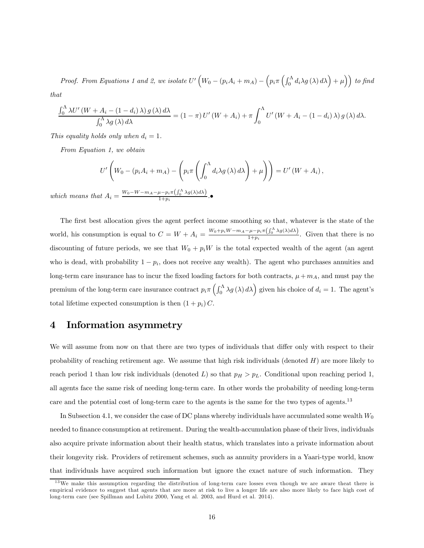Proof. From Equations 1 and 2, we isolate  $U'\left(W_0-(p_iA_i+m_A)-\left(p_i\pi\left(\int_0^{\Lambda}d_i\lambda g\left(\lambda\right)d\lambda\right)+\mu\right)\right)$  to find that

$$
\frac{\int_0^\Lambda \lambda U'(W + A_i - (1 - d_i) \lambda) g(\lambda) d\lambda}{\int_0^\Lambda \lambda g(\lambda) d\lambda} = (1 - \pi) U'(W + A_i) + \pi \int_0^\Lambda U'(W + A_i - (1 - d_i) \lambda) g(\lambda) d\lambda.
$$

This equality holds only when  $d_i = 1$ .

From Equation 1, we obtain

$$
U'\left(W_0 - (p_i A_i + m_A) - \left(p_i \pi \left(\int_0^{\Lambda} d_i \lambda g(\lambda) d\lambda\right) + \mu\right)\right) = U'\left(W + A_i\right),\,
$$

which means that  $A_i = \frac{W_0 - W - m_A - \mu - p_i \pi \left( \int_0^{\Lambda} \lambda g(\lambda) d\lambda \right)}{1 + p_i}$ .

The first best allocation gives the agent perfect income smoothing so that, whatever is the state of the world, his consumption is equal to  $C = W + A_i = \frac{W_0 + p_i W - m_A - \mu - p_i \pi \left( \int_0^{\Lambda} \lambda g(\lambda) d\lambda \right)}{1 + p_i}$ . Given that there is no discounting of future periods, we see that  $W_0 + p_i W$  is the total expected wealth of the agent (an agent who is dead, with probability  $1 - p_i$ , does not receive any wealth). The agent who purchases annuities and long-term care insurance has to incur the fixed loading factors for both contracts,  $\mu + m_A$ , and must pay the premium of the long-term care insurance contract  $p_i \pi\left(\int_0^{\Lambda} \lambda g(\lambda) d\lambda\right)$  given his choice of  $d_i = 1$ . The agent's total lifetime expected consumption is then  $(1 + p_i) C$ .

### 4 Information asymmetry

We will assume from now on that there are two types of individuals that differ only with respect to their probability of reaching retirement age. We assume that high risk individuals (denoted  $H$ ) are more likely to reach period 1 than low risk individuals (denoted L) so that  $p_H > p_L$ . Conditional upon reaching period 1, all agents face the same risk of needing long-term care. In other words the probability of needing long-term care and the potential cost of long-term care to the agents is the same for the two types of agents.<sup>13</sup>

In Subsection 4.1, we consider the case of DC plans whereby individuals have accumulated some wealth  $W_0$ needed to finance consumption at retirement. During the wealth-accumulation phase of their lives, individuals also acquire private information about their health status, which translates into a private information about their longevity risk. Providers of retirement schemes, such as annuity providers in a Yaari-type world, know that individuals have acquired such information but ignore the exact nature of such information. They

<sup>&</sup>lt;sup>13</sup>We make this assumption regarding the distribution of long-term care losses even though we are aware theat there is empirical evidence to suggest that agents that are more at risk to live a longer life are also more likely to face high cost of long-term care (see Spillman and Lubitz 2000, Yang et al. 2003, and Hurd et al. 2014).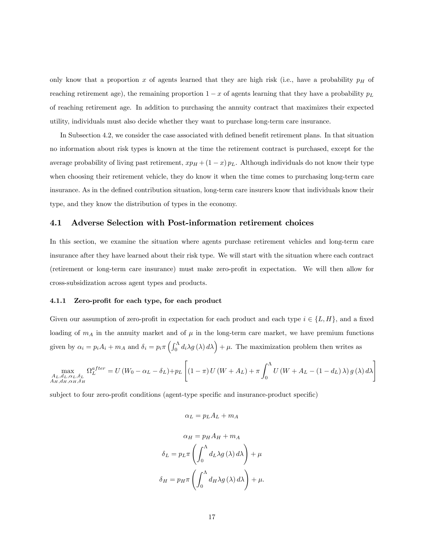only know that a proportion x of agents learned that they are high risk (i.e., have a probability  $p<sub>H</sub>$  of reaching retirement age), the remaining proportion  $1 - x$  of agents learning that they have a probability  $p<sub>L</sub>$ of reaching retirement age. In addition to purchasing the annuity contract that maximizes their expected utility, individuals must also decide whether they want to purchase long-term care insurance.

In Subsection 4.2, we consider the case associated with defined benefit retirement plans. In that situation no information about risk types is known at the time the retirement contract is purchased, except for the average probability of living past retirement,  $xp_H + (1-x)p_L$ . Although individuals do not know their type when choosing their retirement vehicle, they do know it when the time comes to purchasing long-term care insurance. As in the defined contribution situation, long-term care insurers know that individuals know their type, and they know the distribution of types in the economy.

#### 4.1 Adverse Selection with Post-information retirement choices

In this section, we examine the situation where agents purchase retirement vehicles and long-term care insurance after they have learned about their risk type. We will start with the situation where each contract (retirement or long-term care insurance) must make zero-profit in expectation. We will then allow for cross-subsidization across agent types and products.

#### 4.1.1 Zero-profit for each type, for each product

Given our assumption of zero-profit in expectation for each product and each type  $i \in \{L, H\}$ , and a fixed loading of  $m_A$  in the annuity market and of  $\mu$  in the long-term care market, we have premium functions given by  $\alpha_i = p_i A_i + m_A$  and  $\delta_i = p_i \pi \left( \int_0^{\Lambda} d_i \lambda g(\lambda) d\lambda \right) + \mu$ . The maximization problem then writes as

$$
\max\limits_{\substack{A_L, d_L, \alpha_L, \delta_L \\ A_H, d_H, \alpha_H, \delta_H}} \Omega_L^{after} = U\left(W_0 - \alpha_L - \delta_L\right) + p_L \left[ \left(1 - \pi\right)U\left(W + A_L\right) + \pi \int_0^\Lambda U\left(W + A_L - \left(1 - d_L\right)\lambda\right)g\left(\lambda\right) d\lambda \right]
$$

subject to four zero-profit conditions (agent-type specific and insurance-product specific)

$$
\alpha_L = p_L A_L + m_A
$$

$$
\alpha_H = p_H A_H + m_A
$$

$$
\delta_L = p_L \pi \left( \int_0^{\Lambda} d_L \lambda g(\lambda) d\lambda \right) + \mu
$$

$$
\delta_H = p_H \pi \left( \int_0^{\Lambda} d_H \lambda g(\lambda) d\lambda \right) + \mu.
$$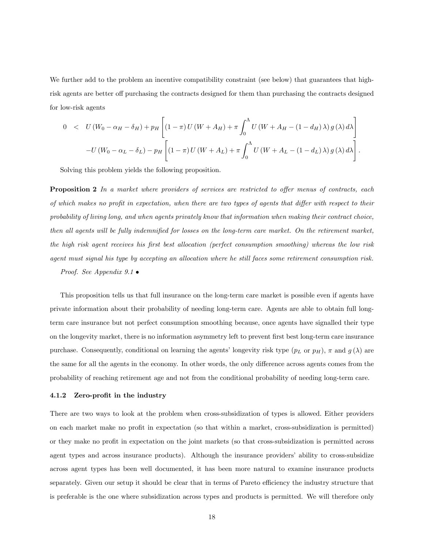We further add to the problem an incentive compatibility constraint (see below) that guarantees that highrisk agents are better off purchasing the contracts designed for them than purchasing the contracts designed for low-risk agents

$$
0 < U(W_0 - \alpha_H - \delta_H) + p_H \left[ (1 - \pi) U(W + A_H) + \pi \int_0^{\Lambda} U(W + A_H - (1 - d_H) \lambda) g(\lambda) d\lambda \right]
$$
  

$$
-U(W_0 - \alpha_L - \delta_L) - p_H \left[ (1 - \pi) U(W + A_L) + \pi \int_0^{\Lambda} U(W + A_L - (1 - d_L) \lambda) g(\lambda) d\lambda \right].
$$

Solving this problem yields the following proposition.

Proposition 2 In a market where providers of services are restricted to offer menus of contracts, each of which makes no profit in expectation, when there are two types of agents that differ with respect to their probability of living long, and when agents privately know that information when making their contract choice, then all agents will be fully indemnified for losses on the long-term care market. On the retirement market, the high risk agent receives his first best allocation (perfect consumption smoothing) whereas the low risk agent must signal his type by accepting an allocation where he still faces some retirement consumption risk.

Proof. See Appendix 9.1 •

This proposition tells us that full insurance on the long-term care market is possible even if agents have private information about their probability of needing long-term care. Agents are able to obtain full longterm care insurance but not perfect consumption smoothing because, once agents have signalled their type on the longevity market, there is no information asymmetry left to prevent first best long-term care insurance purchase. Consequently, conditional on learning the agents' longevity risk type  $(p_L \text{ or } p_H)$ ,  $\pi$  and  $g(\lambda)$  are the same for all the agents in the economy. In other words, the only difference across agents comes from the probability of reaching retirement age and not from the conditional probability of needing long-term care.

#### 4.1.2 Zero-profit in the industry

There are two ways to look at the problem when cross-subsidization of types is allowed. Either providers on each market make no profit in expectation (so that within a market, cross-subsidization is permitted) or they make no profit in expectation on the joint markets (so that cross-subsidization is permitted across agent types and across insurance products). Although the insurance providers' ability to cross-subsidize across agent types has been well documented, it has been more natural to examine insurance products separately. Given our setup it should be clear that in terms of Pareto efficiency the industry structure that is preferable is the one where subsidization across types and products is permitted. We will therefore only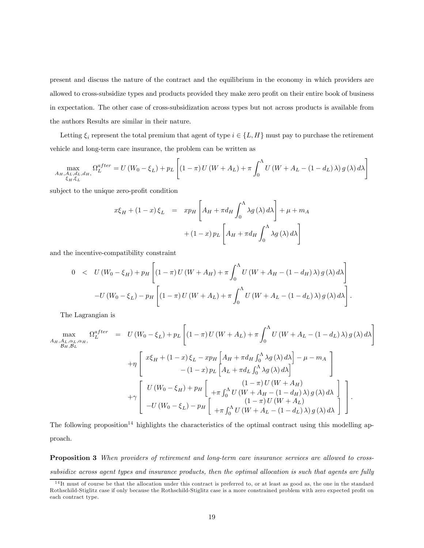present and discuss the nature of the contract and the equilibrium in the economy in which providers are allowed to cross-subsidize types and products provided they make zero profit on their entire book of business in expectation. The other case of cross-subsidization across types but not across products is available from the authors Results are similar in their nature.

Letting  $\xi_i$  represent the total premium that agent of type  $i \in \{L, H\}$  must pay to purchase the retirement vehicle and long-term care insurance, the problem can be written as

$$
\max_{\substack{A_H, A_L, d_L, d_H, \\ \xi_H, \xi_L}} \Omega_L^{after} = U(W_0 - \xi_L) + p_L \left[ (1 - \pi) U(W + A_L) + \pi \int_0^{\Lambda} U(W + A_L - (1 - d_L) \lambda) g(\lambda) d\lambda \right]
$$

subject to the unique zero-profit condition

$$
x\xi_H + (1-x)\xi_L = xp_H \left[A_H + \pi d_H \int_0^{\Lambda} \lambda g(\lambda) d\lambda \right] + \mu + m_A
$$

$$
+ (1-x) p_L \left[A_H + \pi d_H \int_0^{\Lambda} \lambda g(\lambda) d\lambda \right]
$$

and the incentive-compatibility constraint

$$
0 < U(W_0 - \xi_H) + p_H \left[ (1 - \pi) U(W + A_H) + \pi \int_0^{\Lambda} U(W + A_H - (1 - d_H) \lambda) g(\lambda) d\lambda \right]
$$
  

$$
-U(W_0 - \xi_L) - p_H \left[ (1 - \pi) U(W + A_L) + \pi \int_0^{\Lambda} U(W + A_L - (1 - d_L) \lambda) g(\lambda) d\lambda \right]
$$

 $\ddot{\phantom{0}}$ 

The Lagrangian is

$$
\max_{A_H, A_L, \alpha_L, \alpha_H, \alpha_H} \Omega_L^{after} = U(W_0 - \xi_L) + p_L \left[ (1 - \pi) U(W + A_L) + \pi \int_0^{\Lambda} U(W + A_L - (1 - d_L) \lambda) g(\lambda) d\lambda \right]
$$
  
+ 
$$
\eta \left[ x \xi_H + (1 - x) \xi_L - xp_H \left[ A_H + \pi d_H \int_0^{\Lambda} \lambda g(\lambda) d\lambda \right] - \mu - m_A \right]
$$
  
- 
$$
(1 - x) p_L \left[ A_L + \pi d_L \int_0^{\Lambda} \lambda g(\lambda) d\lambda \right]
$$
  
+ 
$$
\gamma \left[ U(W_0 - \xi_H) + p_H \left[ \begin{array}{c} (1 - \pi) U(W + A_H) \\ + \pi \int_0^{\Lambda} U(W + A_H - (1 - d_H) \lambda) g(\lambda) d\lambda \\ -U(W_0 - \xi_L) - p_H \left[ \begin{array}{c} (1 - \pi) U(W + A_L) \\ + \pi \int_0^{\Lambda} U(W + A_L - (1 - d_L) \lambda) g(\lambda) d\lambda \end{array} \right] \end{array} \right].
$$

The following proposition<sup>14</sup> highlights the characteristics of the optimal contract using this modelling approach.

Proposition 3 When providers of retirement and long-term care insurance services are allowed to crosssubsidize across agent types and insurance products, then the optimal allocation is such that agents are fully

<sup>&</sup>lt;sup>14</sup>It must of course be that the allocation under this contract is preferred to, or at least as good as, the one in the standard Rothschild-Stiglitz case if only because the Rothschild-Stiglitz case is a more constrained problem with zero expected profit on each contract type.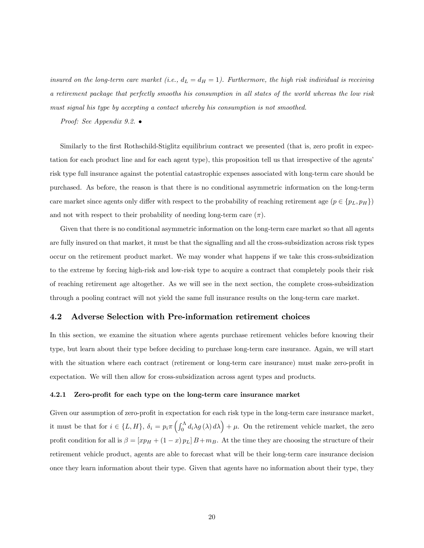insured on the long-term care market (i.e.,  $d_L = d_H = 1$ ). Furthermore, the high risk individual is receiving a retirement package that perfectly smooths his consumption in all states of the world whereas the low risk must signal his type by accepting a contact whereby his consumption is not smoothed.

Proof: See Appendix 9.2. •

Similarly to the first Rothschild-Stiglitz equilibrium contract we presented (that is, zero profit in expectation for each product line and for each agent type), this proposition tell us that irrespective of the agents' risk type full insurance against the potential catastrophic expenses associated with long-term care should be purchased. As before, the reason is that there is no conditional asymmetric information on the long-term care market since agents only differ with respect to the probability of reaching retirement age  $(p \in \{p_L, p_H\})$ and not with respect to their probability of needing long-term care  $(\pi)$ .

Given that there is no conditional asymmetric information on the long-term care market so that all agents are fully insured on that market, it must be that the signalling and all the cross-subsidization across risk types occur on the retirement product market. We may wonder what happens if we take this cross-subsidization to the extreme by forcing high-risk and low-risk type to acquire a contract that completely pools their risk of reaching retirement age altogether. As we will see in the next section, the complete cross-subsidization through a pooling contract will not yield the same full insurance results on the long-term care market.

#### 4.2 Adverse Selection with Pre-information retirement choices

In this section, we examine the situation where agents purchase retirement vehicles before knowing their type, but learn about their type before deciding to purchase long-term care insurance. Again, we will start with the situation where each contract (retirement or long-term care insurance) must make zero-profit in expectation. We will then allow for cross-subsidization across agent types and products.

#### 4.2.1 Zero-profit for each type on the long-term care insurance market

Given our assumption of zero-profit in expectation for each risk type in the long-term care insurance market, it must be that for  $i \in \{L, H\}$ ,  $\delta_i = p_i \pi \left( \int_0^{\Lambda} d_i \lambda g(\lambda) d\lambda \right) + \mu$ . On the retirement vehicle market, the zero profit condition for all is  $\beta = [xp_H + (1-x)p_L]B + m_B$ . At the time they are choosing the structure of their retirement vehicle product, agents are able to forecast what will be their long-term care insurance decision once they learn information about their type. Given that agents have no information about their type, they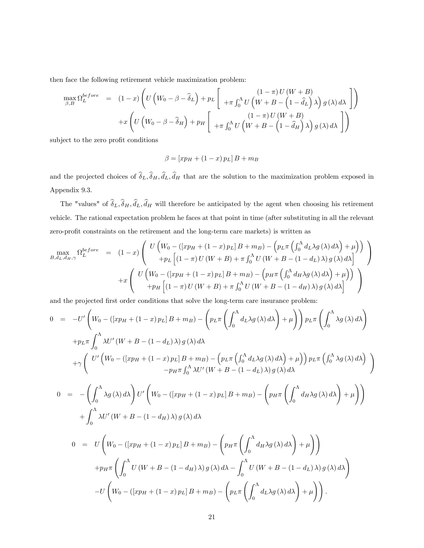then face the following retirement vehicle maximization problem:

$$
\max_{\beta,B} \Omega_L^{before} = (1-x) \left( U \left( W_0 - \beta - \hat{\delta}_L \right) + p_L \left[ \begin{array}{c} (1-\pi) U (W+B) \\ + \pi \int_0^{\Lambda} U \left( W + B - \left( 1 - \hat{d}_L \right) \lambda \right) g(\lambda) d\lambda \end{array} \right] \right) + x \left( U \left( W_0 - \beta - \hat{\delta}_H \right) + p_H \left[ \begin{array}{c} (1-\pi) U (W+B) \\ + \pi \int_0^{\Lambda} U \left( W + B - \left( 1 - \hat{d}_H \right) \lambda \right) g(\lambda) d\lambda \end{array} \right] \right)
$$

subject to the zero profit conditions

$$
\beta = [xp_H + (1-x) p_L] B + m_B
$$

and the projected choices of  $\delta_L, \delta_H, d_L, d_H$  that are the solution to the maximization problem exposed in Appendix 9.3.

The "values" of  $\delta_L, \delta_H, d_L, d_H$  will therefore be anticipated by the agent when choosing his retirement vehicle. The rational expectation problem he faces at that point in time (after substituting in all the relevant zero-profit constraints on the retirement and the long-term care markets) is written as

$$
\max_{B,d_L,d_H,\gamma} \Omega_L^{before} = (1-x) \left( \begin{array}{c} U\left(W_0 - (\left[xp_H + (1-x)p_L\right]B + m_B) - \left(p_L \pi \left(\int_0^{\Lambda} d_L \lambda g(\lambda) d\lambda\right) + \mu\right) \right) \\ + p_L \left[ (1-\pi) U\left(W+B\right) + \pi \int_0^{\Lambda} U\left(W+B - (1-d_L)\lambda\right) g(\lambda) d\lambda \right] \end{array} \right) + x \left( \begin{array}{c} U\left(W_0 - (\left[xp_H + (1-x)p_L\right]B + m_B) - \left(p_H \pi \left(\int_0^{\Lambda} d_H \lambda g(\lambda) d\lambda\right) + \mu\right) \right) \\ + p_H \left[ (1-\pi) U\left(W+B\right) + \pi \int_0^{\Lambda} U\left(W+B - (1-d_H)\lambda\right) g(\lambda) d\lambda \right] \end{array} \right)
$$

and the projected first order conditions that solve the long-term care insurance problem:

$$
0 = -U'\left(W_0 - ([xp_H + (1-x) p_L] B + m_B) - \left(p_L \pi \left(\int_0^{\Lambda} d_L \lambda g(\lambda) d\lambda\right) + \mu\right)\right) p_L \pi \left(\int_0^{\Lambda} \lambda g(\lambda) d\lambda\right)
$$
  
+
$$
p_L \pi \int_0^{\Lambda} \lambda U'(W + B - (1 - d_L) \lambda) g(\lambda) d\lambda
$$
  
+
$$
\gamma \left(\begin{array}{c} U'\left(W_0 - ([xp_H + (1-x) p_L] B + m_B) - (p_L \pi \left(\int_0^{\Lambda} d_L \lambda g(\lambda) d\lambda\right) + \mu\right) p_L \pi \left(\int_0^{\Lambda} \lambda g(\lambda) d\lambda\right) \\ -p_H \pi \int_0^{\Lambda} \lambda U'(W + B - (1 - d_L) \lambda) g(\lambda) d\lambda \end{array}\right)
$$
  

$$
0 = -\left(\int_0^{\Lambda} \lambda g(\lambda) d\lambda\right) U'\left(W_0 - ([xp_H + (1-x) p_L] B + m_B) - \left(p_H \pi \left(\int_0^{\Lambda} d_H \lambda g(\lambda) d\lambda\right) + \mu\right)\right)
$$
  
+
$$
\int_0^{\Lambda} \lambda U'(W + B - (1 - d_H) \lambda) g(\lambda) d\lambda
$$
  

$$
0 = U\left(W_0 - ([xp_H + (1-x) p_L] B + m_B) - \left(p_H \pi \left(\int_0^{\Lambda} d_H \lambda g(\lambda) d\lambda\right) + \mu\right)\right)
$$
  
+
$$
p_H \pi \left(\int_0^{\Lambda} U(W + B - (1 - d_H) \lambda) g(\lambda) d\lambda - \int_0^{\Lambda} U(W + B - (1 - d_L) \lambda) g(\lambda) d\lambda\right)
$$
  
-
$$
U\left(W_0 - ([xp_H + (1-x) p_L] B + m_B) - \left(p_L \pi \left(\int_0^{\Lambda} d_L \lambda g(\lambda) d\lambda\right) + \mu\right)\right).
$$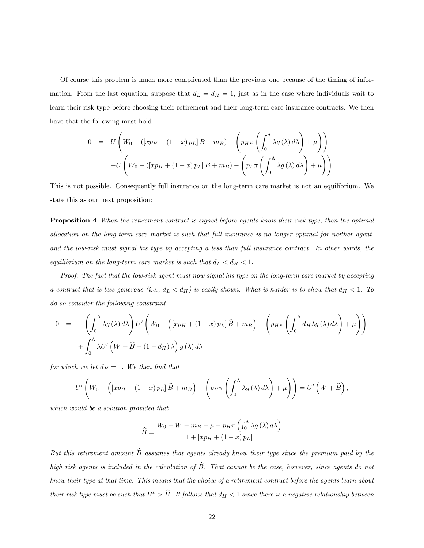Of course this problem is much more complicated than the previous one because of the timing of information. From the last equation, suppose that  $d<sub>L</sub> = d<sub>H</sub> = 1$ , just as in the case where individuals wait to learn their risk type before choosing their retirement and their long-term care insurance contracts. We then have that the following must hold

$$
0 = U \left( W_0 - (\left[ xp_H + (1-x) p_L \right] B + m_B) - \left( p_H \pi \left( \int_0^{\Lambda} \lambda g(\lambda) d\lambda \right) + \mu \right) \right)
$$

$$
-U \left( W_0 - (\left[ xp_H + (1-x) p_L \right] B + m_B) - \left( p_L \pi \left( \int_0^{\Lambda} \lambda g(\lambda) d\lambda \right) + \mu \right) \right).
$$

This is not possible. Consequently full insurance on the long-term care market is not an equilibrium. We state this as our next proposition:

Proposition 4 When the retirement contract is signed before agents know their risk type, then the optimal allocation on the long-term care market is such that full insurance is no longer optimal for neither agent, and the low-risk must signal his type by accepting a less than full insurance contract. In other words, the equilibrium on the long-term care market is such that  $d_L < d_H < 1$ .

Proof: The fact that the low-risk agent must now signal his type on the long-term care market by accepting a contract that is less generous (i.e.,  $d_L < d_H$ ) is easily shown. What is harder is to show that  $d_H < 1$ . To do so consider the following constraint

$$
0 = -\left(\int_0^{\Lambda} \lambda g(\lambda) d\lambda\right) U' \left(W_0 - \left(\left[xp_H + (1-x) p_L\right] \hat{B} + m_B\right) - \left(p_H \pi \left(\int_0^{\Lambda} d_H \lambda g(\lambda) d\lambda\right) + \int_0^{\Lambda} \lambda U' \left(W + \hat{B} - (1 - d_H) \lambda\right) g(\lambda) d\lambda\right)
$$

for which we let  $d_H = 1$ . We then find that

$$
U'\left(W_0 - \left(\left[xp_H + (1-x)p_L\right]\widehat{B} + m_B\right) - \left(p_H\pi\left(\int_0^{\Lambda} \lambda g\left(\lambda\right) d\lambda\right) + \mu\right)\right) = U'\left(W + \widehat{B}\right)
$$

 $\overline{\phantom{a}}$ 

which would be a solution provided that

$$
\widehat{B} = \frac{W_0 - W - m_B - \mu - p_H \pi \left( \int_0^{\Lambda} \lambda g(\lambda) d\lambda \right)}{1 + [xp_H + (1 - x) p_L]}
$$

But this retirement amount  $\widehat{B}$  assumes that agents already know their type since the premium paid by the high risk agents is included in the calculation of  $\widehat{B}$ . That cannot be the case, however, since agents do not know their type at that time. This means that the choice of a retirement contract before the agents learn about their risk type must be such that  $B^* > \widehat{B}$ . It follows that  $d_H < 1$  since there is a negative relationship between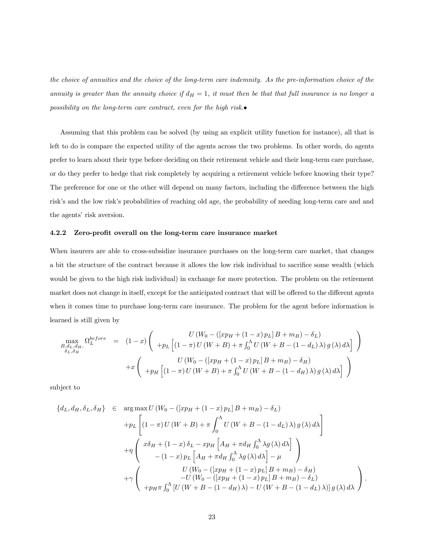the choice of annuities and the choice of the long-term care indemnity. As the pre-information choice of the annuity is greater than the annuity choice if  $d_H = 1$ , it must then be that that full insurance is no longer a possibility on the long-term care contract, even for the high risk.•

Assuming that this problem can be solved (by using an explicit utility function for instance), all that is left to do is compare the expected utility of the agents across the two problems. In other words, do agents prefer to learn about their type before deciding on their retirement vehicle and their long-term care purchase, or do they prefer to hedge that risk completely by acquiring a retirement vehicle before knowing their type? The preference for one or the other will depend on many factors, including the difference between the high risk's and the low risk's probabilities of reaching old age, the probability of needing long-term care and and the agents' risk aversion.

#### 4.2.2 Zero-profit overall on the long-term care insurance market

When insurers are able to cross-subsidize insurance purchases on the long-term care market, that changes a bit the structure of the contract because it allows the low risk individual to sacrifice some wealth (which would be given to the high risk individual) in exchange for more protection. The problem on the retirement market does not change in itself, except for the anticipated contract that will be offered to the different agents when it comes time to purchase long-term care insurance. The problem for the agent before information is learned is still given by

$$
\max_{B,d_L,d_H, G_L} \Omega_L^{before} = (1-x) \left( \begin{array}{cc} U(W_0 - ([xp_H + (1-x) p_L]B + m_B) - \delta_L) \\ + p_L \left[ (1-\pi) U(W+B) + \pi \int_0^{\Lambda} U(W+B - (1-d_L)\lambda) g(\lambda) d\lambda \right] \end{array} \right)
$$
  
+ $x \left( \begin{array}{cc} U(W_0 - ([xp_H + (1-x) p_L]B + m_B) - \delta_H) \\ + p_H \left[ (1-\pi) U(W+B) + \pi \int_0^{\Lambda} U(W+B - (1-d_H)\lambda) g(\lambda) d\lambda \right] \end{array} \right)$ 

subject to

$$
\{d_L, d_H, \delta_L, \delta_H\} \in \arg \max U (W_0 - ([xp_H + (1 - x) p_L] B + m_B) - \delta_L)
$$
  
+
$$
p_L \left[ (1 - \pi) U (W + B) + \pi \int_0^{\Lambda} U (W + B - (1 - d_L) \lambda) g(\lambda) d\lambda \right]
$$
  
+
$$
\eta \left( \begin{array}{c} x\delta_H + (1 - x)\delta_L - xp_H \left[ A_H + \pi d_H \int_0^{\Lambda} \lambda g(\lambda) d\lambda \right] \\ - (1 - x) p_L \left[ A_H + \pi d_H \int_0^{\Lambda} \lambda g(\lambda) d\lambda \right] - \mu \end{array} \right)
$$
  
+
$$
\gamma \left( \begin{array}{c} U (W_0 - ([xp_H + (1 - x) p_L] B + m_B) - \delta_H) \\ -U (W_0 - ([xp_H + (1 - x) p_L] B + m_B) - \delta_L) \\ + p_H \pi \int_0^{\Lambda} [U (W + B - (1 - d_H) \lambda) - U (W + B - (1 - d_L) \lambda)] g(\lambda) d\lambda \end{array} \right).
$$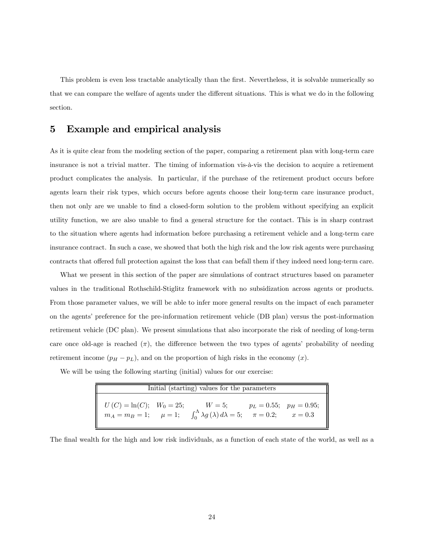This problem is even less tractable analytically than the first. Nevertheless, it is solvable numerically so that we can compare the welfare of agents under the different situations. This is what we do in the following section.

## 5 Example and empirical analysis

As it is quite clear from the modeling section of the paper, comparing a retirement plan with long-term care insurance is not a trivial matter. The timing of information vis-à-vis the decision to acquire a retirement product complicates the analysis. In particular, if the purchase of the retirement product occurs before agents learn their risk types, which occurs before agents choose their long-term care insurance product, then not only are we unable to find a closed-form solution to the problem without specifying an explicit utility function, we are also unable to find a general structure for the contact. This is in sharp contrast to the situation where agents had information before purchasing a retirement vehicle and a long-term care insurance contract. In such a case, we showed that both the high risk and the low risk agents were purchasing contracts that offered full protection against the loss that can befall them if they indeed need long-term care.

What we present in this section of the paper are simulations of contract structures based on parameter values in the traditional Rothschild-Stiglitz framework with no subsidization across agents or products. From those parameter values, we will be able to infer more general results on the impact of each parameter on the agents' preference for the pre-information retirement vehicle (DB plan) versus the post-information retirement vehicle (DC plan). We present simulations that also incorporate the risk of needing of long-term care once old-age is reached  $(\pi)$ , the difference between the two types of agents' probability of needing retirement income  $(p_H - p_L)$ , and on the proportion of high risks in the economy  $(x)$ .

We will be using the following starting (initial) values for our exercise:

| Initial (starting) values for the parameters |  |                                                                                                                                                |  |  |  |  |
|----------------------------------------------|--|------------------------------------------------------------------------------------------------------------------------------------------------|--|--|--|--|
| $U(C) = \ln(C);$ $W_0 = 25;$                 |  | $W = 5;$ $p_L = 0.55;$ $p_H = 0.95;$<br>$m_A = m_B = 1;$ $\mu = 1;$ $\int_0^{\Lambda} \lambda g(\lambda) d\lambda = 5;$ $\pi = 0.2;$ $x = 0.3$ |  |  |  |  |

The final wealth for the high and low risk individuals, as a function of each state of the world, as well as a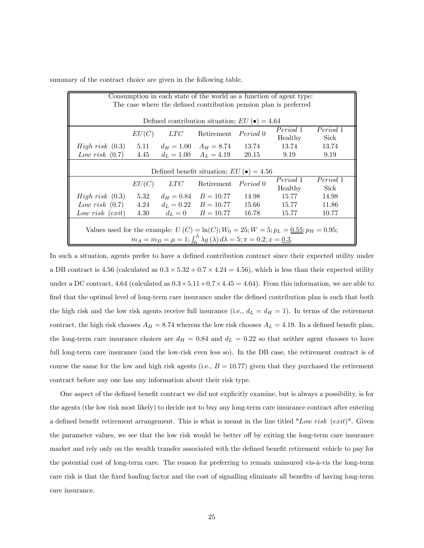| summary of the contract choice are given in the following table. |  |  |  |
|------------------------------------------------------------------|--|--|--|
|------------------------------------------------------------------|--|--|--|

| Consumption in each state of the world as a function of agent type:                                 |                                                                   |              |                                                      |       |         |       |  |
|-----------------------------------------------------------------------------------------------------|-------------------------------------------------------------------|--------------|------------------------------------------------------|-------|---------|-------|--|
|                                                                                                     | The case where the defined contribution pension plan is preferred |              |                                                      |       |         |       |  |
|                                                                                                     |                                                                   |              |                                                      |       |         |       |  |
|                                                                                                     |                                                                   |              | Defined contribution situation; $EU(\bullet) = 4.64$ |       |         |       |  |
|                                                                                                     | Period 1<br>Period 1<br>EU(C)<br>LTC<br>Retirement Period 0       |              |                                                      |       |         |       |  |
|                                                                                                     |                                                                   |              |                                                      |       | Healthy | Sick  |  |
| <i>High risk</i> $(0.3)$                                                                            |                                                                   |              | 5.11 $d_H = 1.00$ $A_H = 8.74$ 13.74                 |       | 13.74   | 13.74 |  |
| Low risk $(0.7)$                                                                                    | 4.45                                                              | $d_L = 1.00$ | $A_L = 4.19$                                         | 20.15 | 9.19    | 9.19  |  |
|                                                                                                     |                                                                   |              |                                                      |       |         |       |  |
|                                                                                                     |                                                                   |              | Defined benefit situation; $EU(\bullet) = 4.56$      |       |         |       |  |
|                                                                                                     | Period 1<br>Period 1<br><i>LTC</i><br>Retirement <i>Period</i> 0  |              |                                                      |       |         |       |  |
|                                                                                                     | EU(C)                                                             |              |                                                      |       | Healthy | Sick  |  |
| <i>High risk</i> $(0.3)$                                                                            | 5.32                                                              |              | $d_H = 0.84$ $B = 10.77$                             | 14.98 | 15.77   | 14.98 |  |
| Low risk $(0.7)$                                                                                    | 4.24                                                              |              | $d_L = 0.22$ $B = 10.77$                             | 15.66 | 15.77   | 11.86 |  |
| Low risk $(exit)$                                                                                   | 4.30                                                              |              | $d_L = 0$ $B = 10.77$                                | 16.78 | 15.77   | 10.77 |  |
|                                                                                                     |                                                                   |              |                                                      |       |         |       |  |
| Values used for the example: $U(C) = \ln(C)$ ; $W_0 = 25$ ; $W = 5$ ; $p_L = 0.55$ ; $p_H = 0.95$ ; |                                                                   |              |                                                      |       |         |       |  |
| $m_A = m_B = \mu = 1; \int_0^{\Lambda} \lambda g(\lambda) d\lambda = 5; \pi = 0.2; x = 0.3.$        |                                                                   |              |                                                      |       |         |       |  |

In such a situation, agents prefer to have a defined contribution contract since their expected utility under a DB contract is 4.56 (calculated as  $0.3 \times 5.32 + 0.7 \times 4.24 = 4.56$ ), which is less than their expected utility under a DC contract, 4.64 (calculated as  $0.3 \times 5.11 + 0.7 \times 4.45 = 4.64$ ). From this information, we are able to find that the optimal level of long-term care insurance under the defined contribution plan is such that both the high risk and the low risk agents receive full insurance (i.e.,  $d_L = d_H = 1$ ). In terms of the retirement contract, the high risk chooses  $A_H = 8.74$  whereas the low risk chooses  $A_L = 4.19$ . In a defined benefit plan, the long-term care insurance choices are  $d_H = 0.84$  and  $d_L = 0.22$  so that neither agent chooses to have full long-term care insurance (and the low-risk even less so). In the DB case, the retirement contract is of course the same for the low and high risk agents (i.e.,  $B = 10.77$ ) given that they purchased the retirement contract before any one has any information about their risk type.

One aspect of the defined benefit contract we did not explicitly examine, but is always a possibility, is for the agents (the low risk most likely) to decide not to buy any long-term care insurance contract after entering a defined benefit retirement arrangement. This is what is meant in the line titled "Low risk (exit)". Given the parameter values, we see that the low risk would be better off by exiting the long-term care insurance market and rely only on the wealth transfer associated with the defined benefit retirement vehicle to pay for the potential cost of long-term care. The reason for preferring to remain uninsured vis-à-vis the long-term care risk is that the fixed loading factor and the cost of signalling eliminate all benefits of having long-term care insurance.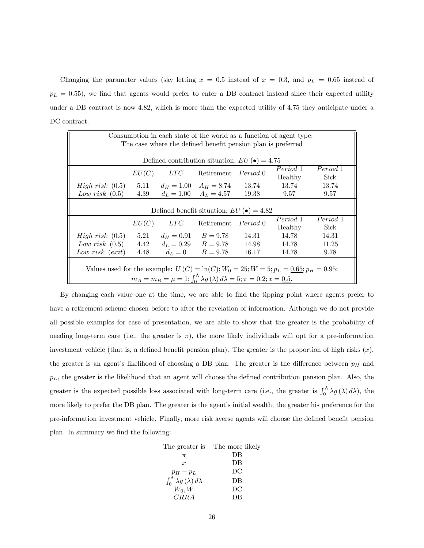Changing the parameter values (say letting  $x = 0.5$  instead of  $x = 0.3$ , and  $p<sub>L</sub> = 0.65$  instead of  $p_L = 0.55$ , we find that agents would prefer to enter a DB contract instead since their expected utility under a DB contract is now 4.82, which is more than the expected utility of 4.75 they anticipate under a DC contract.

| Consumption in each state of the world as a function of agent type:                          |                                                 |              |                                                      |       |          |          |  |
|----------------------------------------------------------------------------------------------|-------------------------------------------------|--------------|------------------------------------------------------|-------|----------|----------|--|
| The case where the defined benefit pension plan is preferred                                 |                                                 |              |                                                      |       |          |          |  |
|                                                                                              |                                                 |              |                                                      |       |          |          |  |
|                                                                                              |                                                 |              | Defined contribution situation; $EU(\bullet) = 4.75$ |       |          |          |  |
|                                                                                              | EU(C)                                           | LTC          | Retirement Period 0                                  |       | Period 1 | Period 1 |  |
|                                                                                              |                                                 |              |                                                      |       | Healthy  | Sick     |  |
| High risk (0.5)                                                                              |                                                 |              | 5.11 $d_H = 1.00$ $A_H = 8.74$ 13.74                 |       | 13.74    | 13.74    |  |
| Low risk $(0.5)$                                                                             | 4.39                                            |              | $d_L = 1.00$ $A_L = 4.57$ 19.38                      |       | 9.57     | 9.57     |  |
|                                                                                              |                                                 |              |                                                      |       |          |          |  |
|                                                                                              | Defined benefit situation; $EU(\bullet) = 4.82$ |              |                                                      |       |          |          |  |
|                                                                                              | Period 1<br>Period 1<br>Retirement Period 0     |              |                                                      |       |          |          |  |
|                                                                                              | EU(C)                                           | $_{LTC}$     |                                                      |       | Healthy  | Sick     |  |
| <i>High risk</i> $(0.5)$                                                                     | 5.21                                            | $d_H = 0.91$ | $B=9.78$                                             | 14.31 | 14.78    | 14.31    |  |
| Low risk $(0.5)$                                                                             | 4.42                                            |              | $d_L = 0.29$ $B = 9.78$                              | 14.98 | 14.78    | 11.25    |  |
| Low risk $(exit)$                                                                            | 4.48                                            |              | $d_L = 0$ $B = 9.78$                                 | 16.17 | 14.78    | 9.78     |  |
|                                                                                              |                                                 |              |                                                      |       |          |          |  |
| Values used for the example: $U(C) = \ln(C);$ $W_0 = 25; W = 5; p_L = 0.65; p_H = 0.95;$     |                                                 |              |                                                      |       |          |          |  |
| $m_A = m_B = \mu = 1; \int_0^{\Lambda} \lambda g(\lambda) d\lambda = 5; \pi = 0.2; x = 0.5.$ |                                                 |              |                                                      |       |          |          |  |

By changing each value one at the time, we are able to find the tipping point where agents prefer to have a retirement scheme chosen before to after the revelation of information. Although we do not provide all possible examples for ease of presentation, we are able to show that the greater is the probability of needing long-term care (i.e., the greater is  $\pi$ ), the more likely individuals will opt for a pre-information investment vehicle (that is, a defined benefit pension plan). The greater is the proportion of high risks  $(x)$ , the greater is an agent's likelihood of choosing a DB plan. The greater is the difference between  $p_H$  and  $p<sub>L</sub>$ , the greater is the likelihood that an agent will choose the defined contribution pension plan. Also, the greater is the expected possible loss associated with long-term care (i.e., the greater is  $\int_0^{\Lambda} \lambda g(\lambda) d\lambda$ ), the more likely to prefer the DB plan. The greater is the agent's initial wealth, the greater his preference for the pre-information investment vehicle. Finally, more risk averse agents will choose the defined benefit pension plan. In summary we find the following:

|                                                                          | The greater is The more likely |
|--------------------------------------------------------------------------|--------------------------------|
| $\pi$                                                                    | DВ                             |
| $\boldsymbol{x}$                                                         | DB                             |
| $p_H-p_L$                                                                | DC                             |
| $\int_0^{\bar{\Lambda}} \lambda g\left(\lambda\right) d\lambda$ $W_0, W$ | DB                             |
|                                                                          | DС                             |
| CRRA                                                                     | DВ                             |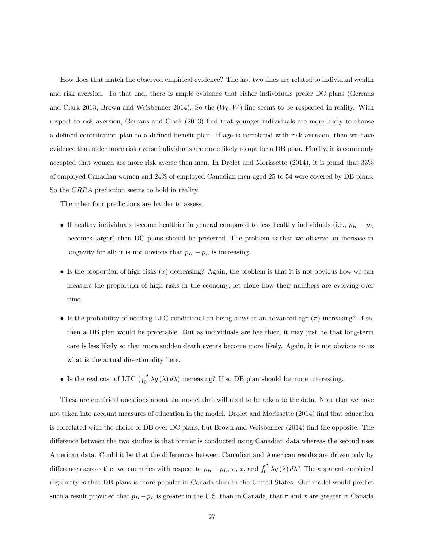How does that match the observed empirical evidence? The last two lines are related to individual wealth and risk aversion. To that end, there is ample evidence that richer individuals prefer DC plans (Gerrans and Clark 2013, Brown and Weisbenner 2014). So the  $(W_0, W)$  line seems to be respected in reality. With respect to risk aversion, Gerrans and Clark (2013) find that younger individuals are more likely to choose a defined contribution plan to a defined benefit plan. If age is correlated with risk aversion, then we have evidence that older more risk averse individuals are more likely to opt for a DB plan. Finally, it is commonly accepted that women are more risk averse then men. In Drolet and Morissette (2014), it is found that 33% of employed Canadian women and 24% of employed Canadian men aged 25 to 54 were covered by DB plans. So the CRRA prediction seems to hold in reality.

The other four predictions are harder to assess.

- If healthy individuals become healthier in general compared to less healthy individuals (i.e.,  $p_H p_L$ ) becomes larger) then DC plans should be preferred. The problem is that we observe an increase in longevity for all; it is not obvious that  $p_H - p_L$  is increasing.
- Is the proportion of high risks  $(x)$  decreasing? Again, the problem is that it is not obvious how we can measure the proportion of high risks in the economy, let alone how their numbers are evolving over time.
- Is the probability of needing LTC conditional on being alive at an advanced age  $(\pi)$  increasing? If so, then a DB plan would be preferable. But as individuals are healthier, it may just be that long-term care is less likely so that more sudden death events become more likely. Again, it is not obvious to us what is the actual directionality here.
- Is the real cost of LTC  $(\int_0^{\Lambda} \lambda g(\lambda) d\lambda)$  increasing? If so DB plan should be more interesting.

These are empirical questions about the model that will need to be taken to the data. Note that we have not taken into account measures of education in the model. Drolet and Morissette (2014) find that education is correlated with the choice of DB over DC plans, but Brown and Weisbenner (2014) find the opposite. The difference between the two studies is that former is conducted using Canadian data whereas the second uses American data. Could it be that the differences between Canadian and American results are driven only by differences across the two countries with respect to  $p_H - p_L$ ,  $\pi$ ,  $x$ , and  $\int_0^{\Lambda} \lambda g(\lambda) d\lambda$ ? The apparent empirical regularity is that DB plans is more popular in Canada than in the United States. Our model would predict such a result provided that  $p_H - p_L$  is greater in the U.S. than in Canada, that  $\pi$  and  $x$  are greater in Canada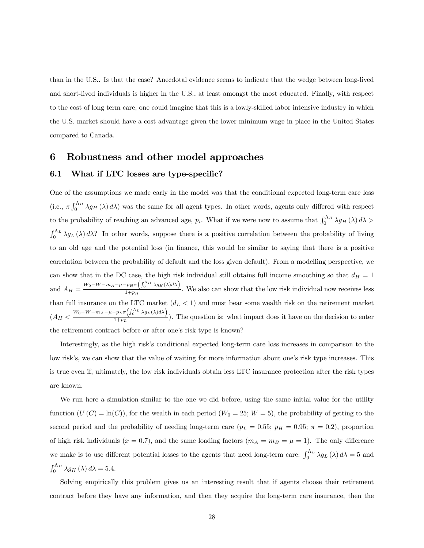than in the U.S.. Is that the case? Anecdotal evidence seems to indicate that the wedge between long-lived and short-lived individuals is higher in the U.S., at least amongst the most educated. Finally, with respect to the cost of long term care, one could imagine that this is a lowly-skilled labor intensive industry in which the U.S. market should have a cost advantage given the lower minimum wage in place in the United States compared to Canada.

## 6 Robustness and other model approaches

#### 6.1 What if LTC losses are type-specific?

One of the assumptions we made early in the model was that the conditional expected long-term care loss (i.e.,  $\pi \int_0^{\Lambda_H} \lambda g_H(\lambda) d\lambda$ ) was the same for all agent types. In other words, agents only differed with respect to the probability of reaching an advanced age,  $p_i$ . What if we were now to assume that  $\int_0^{\Lambda_H} \lambda g_H(\lambda) d\lambda$  $\int_0^{\Lambda_L} \lambda g_L(\lambda) d\lambda$ ? In other words, suppose there is a positive correlation between the probability of living to an old age and the potential loss (in finance, this would be similar to saying that there is a positive correlation between the probability of default and the loss given default). From a modelling perspective, we can show that in the DC case, the high risk individual still obtains full income smoothing so that  $d_H = 1$ and  $A_H = \frac{W_0 - W - m_A - \mu - p_H \pi \left( \int_0^{\Lambda_H} \lambda g_H(\lambda) d\lambda \right)}{1 + n_H}$  $\frac{1+p_{H}+(1,0)(1-p_{H}+p_{H})}{1+p_{H}}$ . We also can show that the low risk individual now receives less than full insurance on the LTC market  $(d_L < 1)$  and must bear some wealth risk on the retirement market  $\left(A_H \leq \frac{W_0 - W - m_A - \mu - p_L \pi \left(\int_0^{\Lambda_L} \lambda g_L(\lambda) d\lambda\right)}{1 + p_L}$  $\frac{1+2}{1+p_L}$ . The question is: what impact does it have on the decision to enter the retirement contract before or after one's risk type is known?

Interestingly, as the high risk's conditional expected long-term care loss increases in comparison to the low risk's, we can show that the value of waiting for more information about one's risk type increases. This is true even if, ultimately, the low risk individuals obtain less LTC insurance protection after the risk types are known.

We run here a simulation similar to the one we did before, using the same initial value for the utility function  $(U(C) = \ln(C))$ , for the wealth in each period  $(W_0 = 25; W = 5)$ , the probability of getting to the second period and the probability of needing long-term care ( $p_L = 0.55$ ;  $p_H = 0.95$ ;  $\pi = 0.2$ ), proportion of high risk individuals ( $x = 0.7$ ), and the same loading factors ( $m_A = m_B = \mu = 1$ ). The only difference we make is to use different potential losses to the agents that need long-term care:  $\int_0^{\Lambda_L} \lambda g_L(\lambda) d\lambda = 5$  and  $\int_0^{\Lambda_H} \lambda g_H(\lambda) d\lambda = 5.4.$ 

Solving empirically this problem gives us an interesting result that if agents choose their retirement contract before they have any information, and then they acquire the long-term care insurance, then the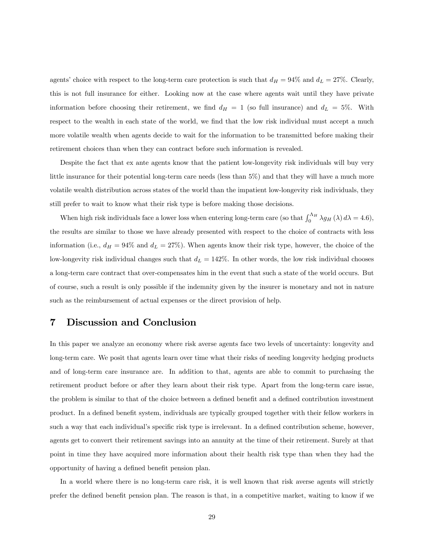agents' choice with respect to the long-term care protection is such that  $d_H = 94\%$  and  $d_L = 27\%$ . Clearly, this is not full insurance for either. Looking now at the case where agents wait until they have private information before choosing their retirement, we find  $d_H = 1$  (so full insurance) and  $d_L = 5\%$ . With respect to the wealth in each state of the world, we find that the low risk individual must accept a much more volatile wealth when agents decide to wait for the information to be transmitted before making their retirement choices than when they can contract before such information is revealed.

Despite the fact that ex ante agents know that the patient low-longevity risk individuals will buy very little insurance for their potential long-term care needs (less than 5%) and that they will have a much more volatile wealth distribution across states of the world than the impatient low-longevity risk individuals, they still prefer to wait to know what their risk type is before making those decisions.

When high risk individuals face a lower loss when entering long-term care (so that  $\int_0^{\Lambda_H} \lambda g_H(\lambda) d\lambda = 4.6$ ), the results are similar to those we have already presented with respect to the choice of contracts with less information (i.e.,  $d_H = 94\%$  and  $d_L = 27\%$ ). When agents know their risk type, however, the choice of the low-longevity risk individual changes such that  $d_L = 142\%$ . In other words, the low risk individual chooses a long-term care contract that over-compensates him in the event that such a state of the world occurs. But of course, such a result is only possible if the indemnity given by the insurer is monetary and not in nature such as the reimbursement of actual expenses or the direct provision of help.

## 7 Discussion and Conclusion

In this paper we analyze an economy where risk averse agents face two levels of uncertainty: longevity and long-term care. We posit that agents learn over time what their risks of needing longevity hedging products and of long-term care insurance are. In addition to that, agents are able to commit to purchasing the retirement product before or after they learn about their risk type. Apart from the long-term care issue, the problem is similar to that of the choice between a defined benefit and a defined contribution investment product. In a defined benefit system, individuals are typically grouped together with their fellow workers in such a way that each individual's specific risk type is irrelevant. In a defined contribution scheme, however, agents get to convert their retirement savings into an annuity at the time of their retirement. Surely at that point in time they have acquired more information about their health risk type than when they had the opportunity of having a defined benefit pension plan.

In a world where there is no long-term care risk, it is well known that risk averse agents will strictly prefer the defined benefit pension plan. The reason is that, in a competitive market, waiting to know if we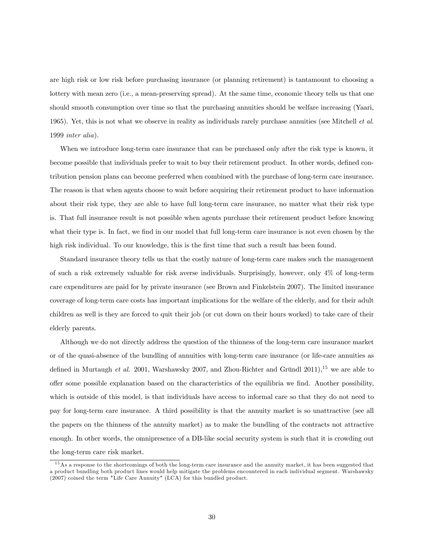are high risk or low risk before purchasing insurance (or planning retirement) is tantamount to choosing a lottery with mean zero (i.e., a mean-preserving spread). At the same time, economic theory tells us that one should smooth consumption over time so that the purchasing annuities should be welfare increasing (Yaari, 1965). Yet, this is not what we observe in reality as individuals rarely purchase annuities (see Mitchell *et al.* 1999 inter alia).

When we introduce long-term care insurance that can be purchased only after the risk type is known, it become possible that individuals prefer to wait to buy their retirement product. In other words, defined contribution pension plans can become preferred when combined with the purchase of long-term care insurance. The reason is that when agents choose to wait before acquiring their retirement product to have information about their risk type, they are able to have full long-term care insurance, no matter what their risk type is. That full insurance result is not possible when agents purchase their retirement product before knowing what their type is. In fact, we find in our model that full long-term care insurance is not even chosen by the high risk individual. To our knowledge, this is the first time that such a result has been found.

Standard insurance theory tells us that the costly nature of long-term care makes such the management of such a risk extremely valuable for risk averse individuals. Surprisingly, however, only 4% of long-term care expenditures are paid for by private insurance (see Brown and Finkelstein 2007). The limited insurance coverage of long-term care costs has important implications for the welfare of the elderly, and for their adult children as well is they are forced to quit their job (or cut down on their hours worked) to take care of their elderly parents.

Although we do not directly address the question of the thinness of the long-term care insurance market or of the quasi-absence of the bundling of annuities with long-term care insurance (or life-care annuities as defined in Murtaugh et al. 2001, Warshawsky 2007, and Zhou-Richter and Gründl 2011),<sup>15</sup> we are able to offer some possible explanation based on the characteristics of the equilibria we find. Another possibility, which is outside of this model, is that individuals have access to informal care so that they do not need to pay for long-term care insurance. A third possibility is that the annuity market is so unattractive (see all the papers on the thinness of the annuity market) as to make the bundling of the contracts not attractive enough. In other words, the omnipresence of a DB-like social security system is such that it is crowding out the long-term care risk market.

<sup>&</sup>lt;sup>15</sup>As a response to the shortcomings of both the long-term care insurance and the annuity market, it has been suggested that a product bundling both product lines would help mitigate the problems encountered in each individual segment. Warshawsky (2007) coined the term "Life Care Annuity" (LCA) for this bundled product.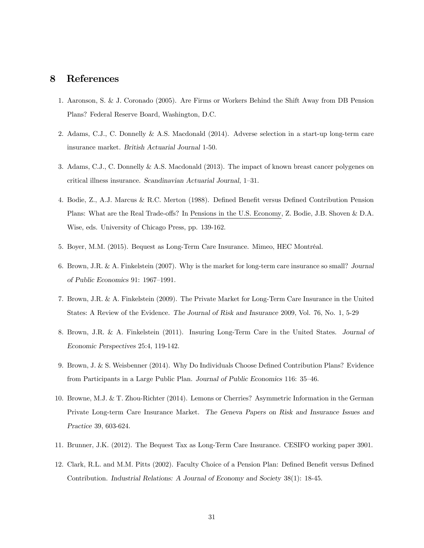## 8 References

- 1. Aaronson, S. & J. Coronado (2005). Are Firms or Workers Behind the Shift Away from DB Pension Plans? Federal Reserve Board, Washington, D.C.
- 2. Adams, C.J., C. Donnelly & A.S. Macdonald (2014). Adverse selection in a start-up long-term care insurance market. British Actuarial Journal 1-50.
- 3. Adams, C.J., C. Donnelly & A.S. Macdonald (2013). The impact of known breast cancer polygenes on critical illness insurance. Scandinavian Actuarial Journal, 1—31.
- 4. Bodie, Z., A.J. Marcus & R.C. Merton (1988). Defined Benefit versus Defined Contribution Pension Plans: What are the Real Trade-offs? In Pensions in the U.S. Economy, Z. Bodie, J.B. Shoven & D.A. Wise, eds. University of Chicago Press, pp. 139-162.
- 5. Boyer, M.M. (2015). Bequest as Long-Term Care Insurance. Mimeo, HEC Montréal.
- 6. Brown, J.R. & A. Finkelstein (2007). Why is the market for long-term care insurance so small? Journal of Public Economics 91: 1967—1991.
- 7. Brown, J.R. & A. Finkelstein (2009). The Private Market for Long-Term Care Insurance in the United States: A Review of the Evidence. The Journal of Risk and Insurance 2009, Vol. 76, No. 1, 5-29
- 8. Brown, J.R. & A. Finkelstein (2011). Insuring Long-Term Care in the United States. Journal of Economic Perspectives 25:4, 119-142.
- 9. Brown, J. & S. Weisbenner (2014). Why Do Individuals Choose Defined Contribution Plans? Evidence from Participants in a Large Public Plan. Journal of Public Economics 116: 35—46.
- 10. Browne, M.J. & T. Zhou-Richter (2014). Lemons or Cherries? Asymmetric Information in the German Private Long-term Care Insurance Market. The Geneva Papers on Risk and Insurance Issues and Practice 39, 603-624.
- 11. Brunner, J.K. (2012). The Bequest Tax as Long-Term Care Insurance. CESIFO working paper 3901.
- 12. Clark, R.L. and M.M. Pitts (2002). Faculty Choice of a Pension Plan: Defined Benefit versus Defined Contribution. Industrial Relations: A Journal of Economy and Society 38(1): 18-45.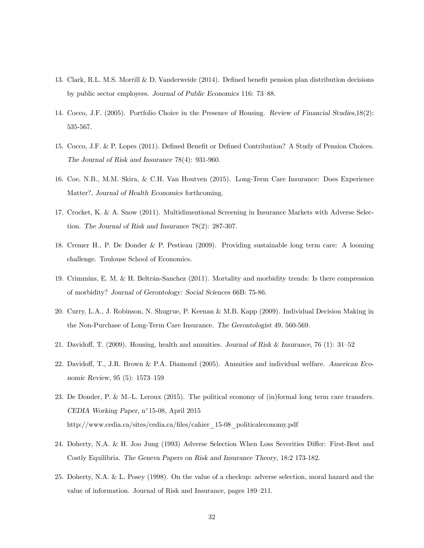- 13. Clark, R.L. M.S. Morrill & D. Vanderweide (2014). Defined benefit pension plan distribution decisions by public sector employees. Journal of Public Economics 116: 73—88.
- 14. Cocco, J.F. (2005). Portfolio Choice in the Presence of Housing. Review of Financial Studies,18(2): 535-567.
- 15. Cocco, J.F. & P. Lopes (2011). Defined Benefit or Defined Contribution? A Study of Pension Choices. The Journal of Risk and Insurance 78(4): 931-960.
- 16. Coe, N.B., M.M. Skira, & C.H. Van Houtven (2015). Long-Term Care Insurance: Does Experience Matter?, Journal of Health Economics forthcoming.
- 17. Crocket, K. & A. Snow (2011). Multidimentional Screening in Insurance Markets with Adverse Selection. The Journal of Risk and Insurance 78(2): 287-307.
- 18. Cremer H., P. De Donder & P. Pestieau (2009). Providing sustainable long term care: A looming challenge. Toulouse School of Economics.
- 19. Crimmins, E. M. & H. Beltrán-Sanchez (2011). Mortality and morbidity trends: Is there compression of morbidity? Journal of Gerontology: Social Sciences 66B: 75-86.
- 20. Curry, L.A., J. Robinson, N. Shugrue, P. Keenan & M.B. Kapp (2009). Individual Decision Making in the Non-Purchase of Long-Term Care Insurance. The Gerontologist 49, 560-569.
- 21. Davidoff, T. (2009). Housing, health and annuities. Journal of Risk & Insurance, 76 (1): 31—52
- 22. Davidoff, T., J.R. Brown & P.A. Diamond (2005). Annuities and individual welfare. American Economic Review, 95 (5): 1573—159
- 23. De Donder, P. & M.-L. Leroux (2015). The political economy of (in)formal long term care transfers. CEDIA Working Paper, n◦15-08, April 2015 http://www.cedia.ca/sites/cedia.ca/files/cahier\_15-08\_politicaleconomy.pdf
- 24. Doherty, N.A. & H. Joo Jung (1993) Adverse Selection When Loss Severities Differ: First-Best and Costly Equilibria. The Geneva Papers on Risk and Insurance Theory, 18:2 173-182.
- 25. Doherty, N.A. & L. Posey (1998). On the value of a checkup: adverse selection, moral hazard and the value of information. Journal of Risk and Insurance, pages 189—211.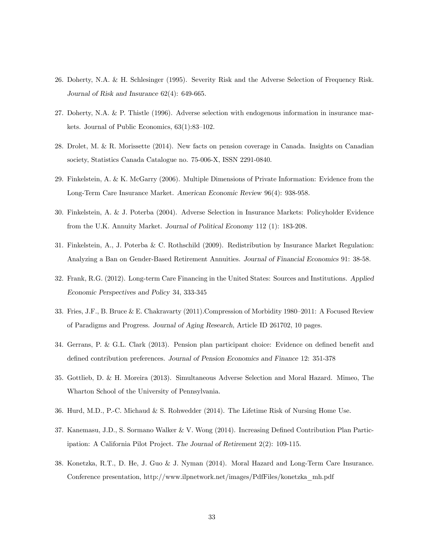- 26. Doherty, N.A. & H. Schlesinger (1995). Severity Risk and the Adverse Selection of Frequency Risk. Journal of Risk and Insurance 62(4): 649-665.
- 27. Doherty, N.A. & P. Thistle (1996). Adverse selection with endogenous information in insurance markets. Journal of Public Economics, 63(1):83—102.
- 28. Drolet, M. & R. Morissette (2014). New facts on pension coverage in Canada. Insights on Canadian society, Statistics Canada Catalogue no. 75-006-X, ISSN 2291-0840.
- 29. Finkelstein, A. & K. McGarry (2006). Multiple Dimensions of Private Information: Evidence from the Long-Term Care Insurance Market. American Economic Review 96(4): 938-958.
- 30. Finkelstein, A. & J. Poterba (2004). Adverse Selection in Insurance Markets: Policyholder Evidence from the U.K. Annuity Market. Journal of Political Economy 112 (1): 183-208.
- 31. Finkelstein, A., J. Poterba & C. Rothschild (2009). Redistribution by Insurance Market Regulation: Analyzing a Ban on Gender-Based Retirement Annuities. Journal of Financial Economics 91: 38-58.
- 32. Frank, R.G. (2012). Long-term Care Financing in the United States: Sources and Institutions. Applied Economic Perspectives and Policy 34, 333-345
- 33. Fries, J.F., B. Bruce & E. Chakravarty (2011).Compression of Morbidity 1980—2011: A Focused Review of Paradigms and Progress. Journal of Aging Research, Article ID 261702, 10 pages.
- 34. Gerrans, P. & G.L. Clark (2013). Pension plan participant choice: Evidence on defined benefit and defined contribution preferences. Journal of Pension Economics and Finance 12: 351-378
- 35. Gottlieb, D. & H. Moreira (2013). Simultaneous Adverse Selection and Moral Hazard. Mimeo, The Wharton School of the University of Pennsylvania.
- 36. Hurd, M.D., P.-C. Michaud & S. Rohwedder (2014). The Lifetime Risk of Nursing Home Use.
- 37. Kanemasu, J.D., S. Sormano Walker & V. Wong (2014). Increasing Defined Contribution Plan Participation: A California Pilot Project. The Journal of Retirement 2(2): 109-115.
- 38. Konetzka, R.T., D. He, J. Guo & J. Nyman (2014). Moral Hazard and Long-Term Care Insurance. Conference presentation, http://www.ilpnetwork.net/images/PdfFiles/konetzka\_mh.pdf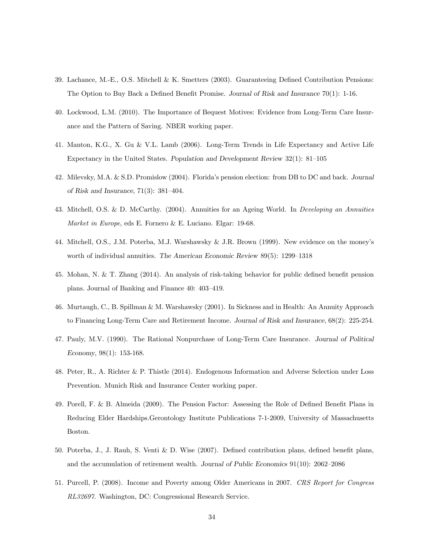- 39. Lachance, M.-E., O.S. Mitchell & K. Smetters (2003). Guaranteeing Defined Contribution Pensions: The Option to Buy Back a Defined Benefit Promise. Journal of Risk and Insurance 70(1): 1-16.
- 40. Lockwood, L.M. (2010). The Importance of Bequest Motives: Evidence from Long-Term Care Insurance and the Pattern of Saving. NBER working paper.
- 41. Manton, K.G., X. Gu & V.L. Lamb (2006). Long-Term Trends in Life Expectancy and Active Life Expectancy in the United States. Population and Development Review 32(1): 81—105
- 42. Milevsky, M.A. & S.D. Promislow (2004). Florida's pension election: from DB to DC and back. Journal of Risk and Insurance, 71(3): 381—404.
- 43. Mitchell, O.S. & D. McCarthy. (2004). Annuities for an Ageing World. In Developing an Annuities Market in Europe, eds E. Fornero & E. Luciano. Elgar: 19-68.
- 44. Mitchell, O.S., J.M. Poterba, M.J. Warshawsky & J.R. Brown (1999). New evidence on the money's worth of individual annuities. The American Economic Review 89(5): 1299—1318
- 45. Mohan, N. & T. Zhang (2014). An analysis of risk-taking behavior for public defined benefit pension plans. Journal of Banking and Finance 40: 403—419.
- 46. Murtaugh, C., B. Spillman & M. Warshawsky (2001). In Sickness and in Health: An Annuity Approach to Financing Long-Term Care and Retirement Income. Journal of Risk and Insurance, 68(2): 225-254.
- 47. Pauly, M.V. (1990). The Rational Nonpurchase of Long-Term Care Insurance. Journal of Political Economy, 98(1): 153-168.
- 48. Peter, R., A. Richter & P. Thistle (2014). Endogenous Information and Adverse Selection under Loss Prevention. Munich Risk and Insurance Center working paper.
- 49. Porell, F. & B. Almeida (2009). The Pension Factor: Assessing the Role of Defined Benefit Plans in Reducing Elder HardshipsGerontology Institute Publications 7-1-2009, University of Massachusetts Boston.
- 50. Poterba, J., J. Rauh, S. Venti & D. Wise (2007). Defined contribution plans, defined benefit plans, and the accumulation of retirement wealth. Journal of Public Economics 91(10): 2062—2086
- 51. Purcell, P. (2008). Income and Poverty among Older Americans in 2007. CRS Report for Congress RL32697. Washington, DC: Congressional Research Service.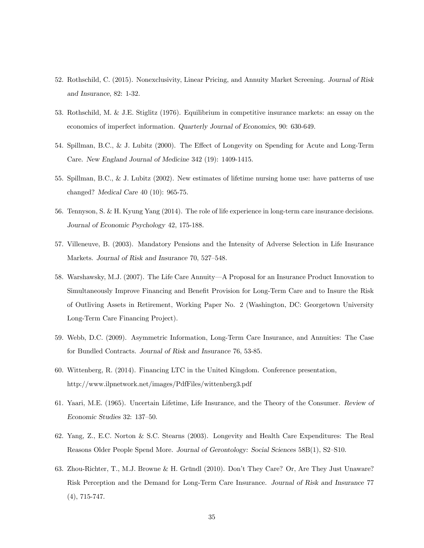- 52. Rothschild, C. (2015). Nonexclusivity, Linear Pricing, and Annuity Market Screening. Journal of Risk and Insurance, 82: 1-32.
- 53. Rothschild, M. & J.E. Stiglitz (1976). Equilibrium in competitive insurance markets: an essay on the economics of imperfect information. Quarterly Journal of Economics, 90: 630-649.
- 54. Spillman, B.C., & J. Lubitz (2000). The Effect of Longevity on Spending for Acute and Long-Term Care. New England Journal of Medicine 342 (19): 1409-1415.
- 55. Spillman, B.C., & J. Lubitz (2002). New estimates of lifetime nursing home use: have patterns of use changed? Medical Care 40 (10): 965-75.
- 56. Tennyson, S. & H. Kyung Yang (2014). The role of life experience in long-term care insurance decisions. Journal of Economic Psychology 42, 175-188.
- 57. Villeneuve, B. (2003). Mandatory Pensions and the Intensity of Adverse Selection in Life Insurance Markets. Journal of Risk and Insurance 70, 527—548.
- 58. Warshawsky, M.J. (2007). The Life Care Annuity–A Proposal for an Insurance Product Innovation to Simultaneously Improve Financing and Benefit Provision for Long-Term Care and to Insure the Risk of Outliving Assets in Retirement, Working Paper No. 2 (Washington, DC: Georgetown University Long-Term Care Financing Project).
- 59. Webb, D.C. (2009). Asymmetric Information, Long-Term Care Insurance, and Annuities: The Case for Bundled Contracts. Journal of Risk and Insurance 76, 53-85.
- 60. Wittenberg, R. (2014). Financing LTC in the United Kingdom. Conference presentation, http://www.ilpnetwork.net/images/PdfFiles/wittenberg3.pdf
- 61. Yaari, M.E. (1965). Uncertain Lifetime, Life Insurance, and the Theory of the Consumer. Review of Economic Studies 32: 137—50.
- 62. Yang, Z., E.C. Norton & S.C. Stearns (2003). Longevity and Health Care Expenditures: The Real Reasons Older People Spend More. Journal of Gerontology: Social Sciences 58B(1), S2—S10.
- 63. Zhou-Richter, T., M.J. Browne & H. Gründl (2010). Don't They Care? Or, Are They Just Unaware? Risk Perception and the Demand for Long-Term Care Insurance. Journal of Risk and Insurance 77 (4), 715-747.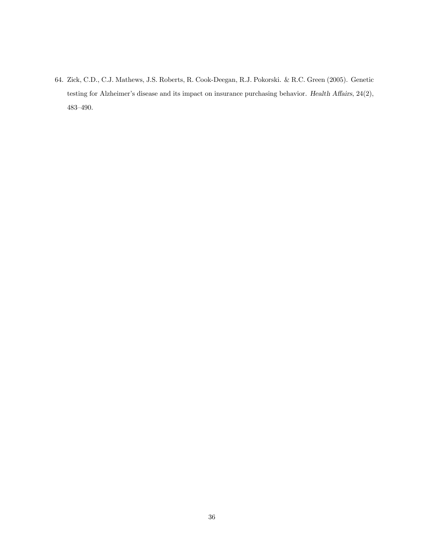64. Zick, C.D., C.J. Mathews, J.S. Roberts, R. Cook-Deegan, R.J. Pokorski. & R.C. Green (2005). Genetic testing for Alzheimer's disease and its impact on insurance purchasing behavior. Health Affairs, 24(2), 483—490.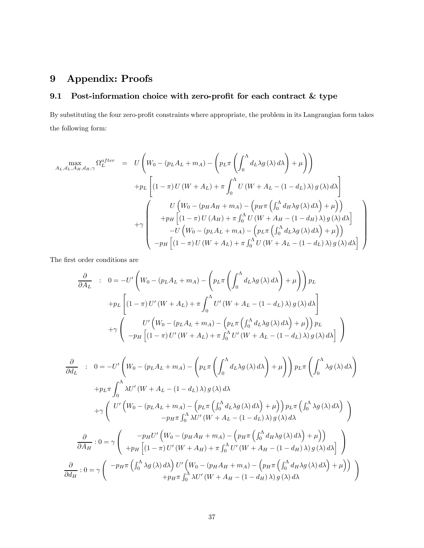## 9 Appendix: Proofs

## 9.1 Post-information choice with zero-profit for each contract & type

By substituting the four zero-profit constraints where appropriate, the problem in its Langrangian form takes the following form:

$$
A_{L,d_{L},A_{H},d_{H},\gamma} \Omega_{L}^{after} = U \left( W_{0} - (p_{L}A_{L} + m_{A}) - \left( p_{L}\pi \left( \int_{0}^{\Lambda} d_{L}\lambda g(\lambda) d\lambda \right) + \mu \right) \right)
$$
  
+
$$
p_{L} \left[ (1 - \pi) U (W + A_{L}) + \pi \int_{0}^{\Lambda} U (W + A_{L} - (1 - d_{L}) \lambda) g(\lambda) d\lambda \right]
$$
  
+
$$
\gamma \left( \begin{array}{c} U \left( W_{0} - (p_{H}A_{H} + m_{A}) - \left( p_{H}\pi \left( \int_{0}^{\Lambda} d_{H}\lambda g(\lambda) d\lambda \right) + \mu \right) \right) \\ + p_{H} \left[ (1 - \pi) U (A_{H}) + \pi \int_{0}^{\Lambda} U (W + A_{H} - (1 - d_{H}) \lambda) g(\lambda) d\lambda \right] \\ - U \left( W_{0} - (p_{L}A_{L} + m_{A}) - \left( p_{L}\pi \left( \int_{0}^{\Lambda} d_{L}\lambda g(\lambda) d\lambda \right) + \mu \right) \right) \\ - p_{H} \left[ (1 - \pi) U (W + A_{L}) + \pi \int_{0}^{\Lambda} U (W + A_{L} - (1 - d_{L}) \lambda) g(\lambda) d\lambda \right] \end{array} \right)
$$

The first order conditions are

$$
\frac{\partial}{\partial A_L} : 0 = -U' \left( W_0 - (p_L A_L + m_A) - \left( p_L \pi \left( \int_0^{\Lambda} d_L \lambda g(\lambda) d\lambda \right) + \mu \right) \right) p_L
$$
  
+
$$
p_L \left[ (1 - \pi) U'(W + A_L) + \pi \int_0^{\Lambda} U'(W + A_L - (1 - d_L) \lambda) g(\lambda) d\lambda \right]
$$
  
+
$$
\gamma \left( U' \left( W_0 - (p_L A_L + m_A) - \left( p_L \pi \left( \int_0^{\Lambda} d_L \lambda g(\lambda) d\lambda \right) + \mu \right) \right) p_L
$$
  
-
$$
-p_H \left[ (1 - \pi) U'(W + A_L) + \pi \int_0^{\Lambda} U'(W + A_L - (1 - d_L) \lambda) g(\lambda) d\lambda \right]
$$

$$
\frac{\partial}{\partial d_L} : 0 = -U' \left( W_0 - (p_L A_L + m_A) - \left( p_L \pi \left( \int_0^{\Lambda} d_L \lambda g(\lambda) d\lambda \right) + \mu \right) \right) p_L \pi \left( \int_0^{\Lambda} \lambda g(\lambda) d\lambda \right)
$$

$$
+ p_L \pi \int_0^{\Lambda} \lambda U' (W + A_L - (1 - d_L) \lambda) g(\lambda) d\lambda
$$

$$
+ \gamma \left( U' \left( W_0 - (p_L A_L + m_A) - \left( p_L \pi \left( \int_0^{\Lambda} d_L \lambda g(\lambda) d\lambda \right) + \mu \right) \right) p_L \pi \left( \int_0^{\Lambda} \lambda g(\lambda) d\lambda \right) \right)
$$

$$
- p_H \pi \int_0^{\Lambda} \lambda U' (W + A_L - (1 - d_L) \lambda) g(\lambda) d\lambda
$$

$$
\frac{\partial}{\partial A_H} : 0 = \gamma \left( \begin{array}{c} -p_H U' \left( W_0 - (p_H A_H + m_A) - \left( p_H \pi \left( \int_0^{\Lambda} d_H \lambda g(\lambda) d\lambda \right) + \mu \right) \right) \\ + p_H \left[ (1 - \pi) U' (W + A_H) + \pi \int_0^{\Lambda} U' (W + A_H - (1 - d_H) \lambda) g(\lambda) d\lambda \right] \end{array} \right)
$$

$$
\frac{\partial}{\partial d_H} : 0 = \gamma \left( \begin{array}{c} -p_H \pi \left( \int_0^{\Lambda} \lambda g(\lambda) d\lambda \right) U' \left( W_0 - (p_H A_H + m_A) - \left( p_H \pi \left( \int_0^{\Lambda} d_H \lambda g(\lambda) d\lambda \right) + \mu \right) \right) \\ + p_H \pi \int_0^{\Lambda} \lambda U' (W + A_H - (1 - d_H) \lambda) g(\lambda) d\lambda \end{array} \right)
$$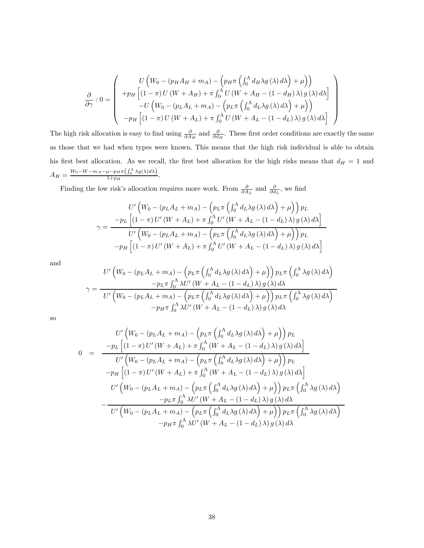$$
\frac{\partial}{\partial \gamma}: 0 = \begin{pmatrix} U\left(W_0 - (p_H A_H + m_A) - (p_H \pi \left(\int_0^{\Lambda} d_H \lambda g(\lambda) d\lambda\right) + \mu\right) \right) \\ + p_H \left[ (1 - \pi) U(W + A_H) + \pi \int_0^{\Lambda} U(W + A_H - (1 - d_H) \lambda) g(\lambda) d\lambda \right] \\ - U\left(W_0 - (p_L A_L + m_A) - (p_L \pi \left(\int_0^{\Lambda} d_L \lambda g(\lambda) d\lambda\right) + \mu\right) \right) \\ - p_H \left[ (1 - \pi) U(W + A_L) + \pi \int_0^{\Lambda} U(W + A_L - (1 - d_L) \lambda) g(\lambda) d\lambda \right] \end{pmatrix}
$$

The high risk allocation is easy to find using  $\frac{\partial}{\partial A_H}$  and  $\frac{\partial}{\partial d_H}$ . These first order conditions are exactly the same as those that we had when types were known. This means that the high risk individual is able to obtain his first best allocation. As we recall, the first best allocation for the high risks means that  $d_H = 1$  and  $A_H = \frac{W_0 - W - m_A - \mu - p_H \pi \left( \int_0^{\Lambda} \lambda g(\lambda) d\lambda \right)}{1 + p_H}.$ 

Finding the low risk's allocation requires more work. From  $\frac{\partial}{\partial A_L}$  and  $\frac{\partial}{\partial d_L}$ , we find

$$
U'\left(W_0 - (p_L A_L + m_A) - \left(p_L \pi \left(\int_0^{\Lambda} d_L \lambda g(\lambda) d\lambda\right) + \mu\right)\right) p_L
$$
  

$$
\gamma = \frac{-p_L \left[ (1 - \pi) U'\left(W + A_L\right) + \pi \int_0^{\Lambda} U'\left(W + A_L - (1 - d_L)\lambda\right) g(\lambda) d\lambda \right]}{U'\left(W_0 - (p_L A_L + m_A) - \left(p_L \pi \left(\int_0^{\Lambda} d_L \lambda g(\lambda) d\lambda\right) + \mu\right)\right) p_L}
$$
  

$$
-p_H \left[ (1 - \pi) U'\left(W + A_L\right) + \pi \int_0^{\Lambda} U'\left(W + A_L - (1 - d_L)\lambda\right) g(\lambda) d\lambda \right]
$$

and

$$
V' \left( W_0 - (p_L A_L + m_A) - \left( p_L \pi \left( \int_0^{\Lambda} d_L \lambda g(\lambda) d\lambda \right) + \mu \right) \right) p_L \pi \left( \int_0^{\Lambda} \lambda g(\lambda) d\lambda \right)
$$

$$
\gamma = \frac{-p_L \pi \int_0^{\Lambda} \lambda U' \left( W + A_L - (1 - d_L) \lambda \right) g(\lambda) d\lambda}{U' \left( W_0 - (p_L A_L + m_A) - \left( p_L \pi \left( \int_0^{\Lambda} d_L \lambda g(\lambda) d\lambda \right) + \mu \right) \right) p_L \pi \left( \int_0^{\Lambda} \lambda g(\lambda) d\lambda \right)}
$$

$$
-p_H \pi \int_0^{\Lambda} \lambda U' \left( W + A_L - (1 - d_L) \lambda \right) g(\lambda) d\lambda
$$

so

$$
U'\left(W_0 - (p_L A_L + m_A) - (p_L \pi \left(\int_0^{\Lambda} d_L \lambda g(\lambda) d\lambda\right) + \mu\right)) p_L
$$
  
\n
$$
0 = \frac{-p_L \left[ (1 - \pi) U'(W + A_L) + \pi \int_0^{\Lambda} (W + A_L - (1 - d_L) \lambda) g(\lambda) d\lambda \right]}{U'\left(W_0 - (p_L A_L + m_A) - (p_L \pi \left(\int_0^{\Lambda} d_L \lambda g(\lambda) d\lambda\right) + \mu\right)) p_L}
$$
  
\n
$$
-p_H \left[ (1 - \pi) U'(W + A_L) + \pi \int_0^{\Lambda} (W + A_L - (1 - d_L) \lambda) g(\lambda) d\lambda \right]
$$
  
\n
$$
U'\left(W_0 - (p_L A_L + m_A) - (p_L \pi \left(\int_0^{\Lambda} d_L \lambda g(\lambda) d\lambda\right) + \mu\right)) p_L \pi \left(\int_0^{\Lambda} \lambda g(\lambda) d\lambda\right)
$$
  
\n
$$
-p_L \pi \int_0^{\Lambda} \lambda U'(W + A_L - (1 - d_L) \lambda) g(\lambda) d\lambda
$$
  
\n
$$
-p_H \pi \int_0^{\Lambda} \lambda U'(W + A_L - (1 - d_L) \lambda) g(\lambda) d\lambda
$$
  
\n
$$
-p_H \pi \int_0^{\Lambda} \lambda U'(W + A_L - (1 - d_L) \lambda) g(\lambda) d\lambda
$$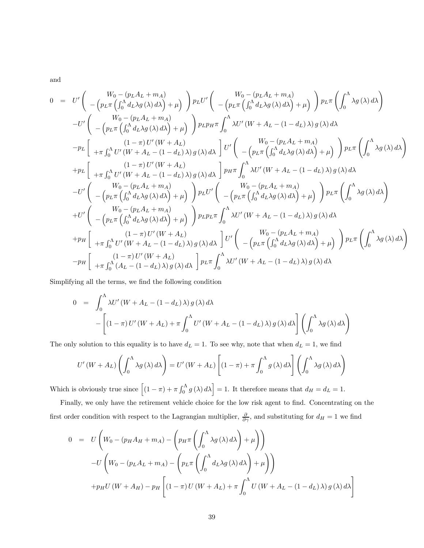and

$$
0 = U' \left( \begin{array}{cc} W_0 - (p_L A_L + m_A) \\ - (p_L \pi \left( \int_0^{\Lambda} d_L \lambda g(\lambda) d\lambda \right) + \mu \end{array} \right) p_L U' \left( \begin{array}{cc} W_0 - (p_L A_L + m_A) \\ - (p_L \pi \left( \int_0^{\Lambda} d_L \lambda g(\lambda) d\lambda \right) + \mu \end{array} \right) p_L U'' \left( \begin{array}{cc} W_0 - (p_L A_L + m_A) \\ - (p_L \pi \left( \int_0^{\Lambda} d_L \lambda g(\lambda) d\lambda \right) + \mu \end{array} \right) p_L p_H \pi \int_0^{\Lambda} \lambda U' \left( W + A_L - (1 - d_L) \lambda \right) g(\lambda) d\lambda \\ - p_L \left[ \begin{array}{cc} (1 - \pi) U' \left( W + A_L \right) \\ + \pi \int_0^{\Lambda} U' \left( W + A_L - (1 - d_L) \lambda \right) g(\lambda) d\lambda \end{array} \right] U' \left( \begin{array}{cc} W_0 - (p_L A_L + m_A) \\ - (p_L \pi \left( \int_0^{\Lambda} d_L \lambda g(\lambda) d\lambda \right) + \mu \end{array} \right) p_L \pi \left( \int_0^{\Lambda} \lambda g(\lambda) d\lambda \right) \\ + p_L \left[ \begin{array}{cc} (1 - \pi) U' \left( W + A_L \right) \\ + \pi \int_0^{\Lambda} U' \left( W + A_L - (1 - d_L) \lambda \right) g(\lambda) d\lambda \end{array} \right] p_H \pi \int_0^{\Lambda} \lambda U' \left( W + A_L - (1 - d_L) \lambda \right) g(\lambda) d\lambda \\ - U' \left( \begin{array}{cc} V_0 - (p_L A_L + m_A) \\ - (p_L \pi \left( \int_0^{\Lambda} d_L \lambda g(\lambda) d\lambda \right) + \mu \end{array} \right) p_L U' \left( \begin{array}{cc} W_0 - (p_L A_L + m_A) \\ - (p_L \pi \left( \int_0^{\Lambda} d_L \lambda g(\lambda) d\lambda \right) + \mu \end{array} \right) p_L \pi \left( \int_0^{\Lambda} \lambda g(\lambda) d\lambda \right) \\ - (p_L \pi \left( \int_0^{\Lambda} d_L \lambda g(\lambda) d\lambda \right) + \mu \end{array} \
$$

Simplifying all the terms, we find the following condition

$$
0 = \int_0^{\Lambda} \lambda U'(W + A_L - (1 - d_L) \lambda) g(\lambda) d\lambda
$$

$$
- \left[ (1 - \pi) U'(W + A_L) + \pi \int_0^{\Lambda} U'(W + A_L - (1 - d_L) \lambda) g(\lambda) d\lambda \right] \left( \int_0^{\Lambda} \lambda g(\lambda) d\lambda \right)
$$

The only solution to this equality is to have  $d<sub>L</sub> = 1$ . To see why, note that when  $d<sub>L</sub> = 1$ , we find

$$
U'(W + A_L) \left( \int_0^{\Lambda} \lambda g(\lambda) d\lambda \right) = U'(W + A_L) \left[ (1 - \pi) + \pi \int_0^{\Lambda} g(\lambda) d\lambda \right] \left( \int_0^{\Lambda} \lambda g(\lambda) d\lambda \right)
$$

Which is obviously true since  $\left[ (1 - \pi) + \pi \int_0^{\Lambda} g(\lambda) d\lambda \right] = 1$ . It therefore means that  $d_H = d_L = 1$ .

Finally, we only have the retirement vehicle choice for the low risk agent to find. Concentrating on the first order condition with respect to the Lagrangian multiplier,  $\frac{\partial}{\partial \gamma}$ , and substituting for  $d_H = 1$  we find

$$
0 = U \left( W_0 - (p_H A_H + m_A) - \left( p_H \pi \left( \int_0^{\Lambda} \lambda g(\lambda) d\lambda \right) + \mu \right) \right)
$$
  
-U \left( W\_0 - (p\_L A\_L + m\_A) - \left( p\_L \pi \left( \int\_0^{\Lambda} d\_L \lambda g(\lambda) d\lambda \right) + \mu \right) \right)  
+ p\_H U (W + A\_H) - p\_H \left[ (1 - \pi) U (W + A\_L) + \pi \int\_0^{\Lambda} U (W + A\_L - (1 - d\_L) \lambda) g(\lambda) d\lambda \right]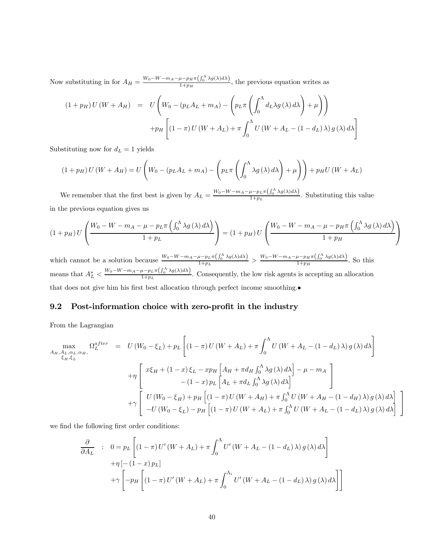Now substituting in for  $A_H = \frac{W_0 - W - m_A - \mu - p_H \pi \left(\int_0^{\Lambda} \lambda g(\lambda) d\lambda\right)}{1 + p_H}$ , the previous equation writes as

$$
(1 + p_H) U (W + A_H) = U \left( W_0 - (p_L A_L + m_A) - \left( p_L \pi \left( \int_0^{\Lambda} d_L \lambda g(\lambda) d\lambda \right) + \mu \right) \right)
$$

$$
+ p_H \left[ (1 - \pi) U (W + A_L) + \pi \int_0^{\Lambda} U (W + A_L - (1 - d_L) \lambda) g(\lambda) d\lambda \right]
$$

Substituting now for  $d_L = 1$  yields

$$
(1+p_H) U (W+A_H) = U \left( W_0 - (p_L A_L + m_A) - \left( p_L \pi \left( \int_0^{\Lambda} \lambda g(\lambda) d\lambda \right) + \mu \right) \right) + p_H U (W+A_L)
$$

We remember that the first best is given by  $A_L = \frac{W_0 - W - m_A - \mu - p_L \pi \left( \int_0^{\Lambda} \lambda g(\lambda) d\lambda \right)}{1 + p_L}$ . Substituting this value in the previous equation gives us

$$
(1+p_H) U \left( \frac{W_0 - W - m_A - \mu - p_L \pi \left( \int_0^{\Lambda} \lambda g(\lambda) d\lambda \right)}{1+p_L} \right) = (1+p_H) U \left( \frac{W_0 - W - m_A - \mu - p_H \pi \left( \int_0^{\Lambda} \lambda g(\lambda) d\lambda \right)}{1+p_H} \right)
$$

which cannot be a solution because  $\frac{W_0 - W - m_A - \mu - p_L \pi \left(\int_0^{\Lambda} \lambda g(\lambda) d\lambda\right)}{1 + p_L} > \frac{W_0 - W - m_A - \mu - p_H \pi \left(\int_0^{\Lambda} \lambda g(\lambda) d\lambda\right)}{1 + p_H}$ . So this means that  $A_L^* < \frac{W_0 - W - m_A - \mu - p_L \pi \left(\int_0^{\Lambda} \lambda g(\lambda) d\lambda\right)}{1 + p_L}$ . Consequently, the low risk agents is accepting an allocation that does not give him his first best allocation through perfect income smoothing.•

#### 9.2 Post-information choice with zero-profit in the industry

From the Lagrangian

$$
\max_{A_H, A_L, \alpha_L, \alpha_H, \alpha_H} \Omega_L^{after} = U(W_0 - \xi_L) + p_L \left[ (1 - \pi) U(W + A_L) + \pi \int_0^{\Lambda} U(W + A_L - (1 - d_L) \lambda) g(\lambda) d\lambda \right]
$$
  
+ 
$$
\eta \left[ x \xi_H + (1 - x) \xi_L - xp_H \left[ A_H + \pi d_H \int_0^{\Lambda} \lambda g(\lambda) d\lambda \right] - \mu - m_A \right]
$$
  
- 
$$
(1 - x) p_L \left[ A_L + \pi d_L \int_0^{\Lambda} \lambda g(\lambda) d\lambda \right]
$$
  
+ 
$$
\gamma \left[ U(W_0 - \xi_H) + p_H \left[ (1 - \pi) U(W + A_H) + \pi \int_0^{\Lambda} U(W + A_H - (1 - d_H) \lambda) g(\lambda) d\lambda \right] - U(W_0 - \xi_L) - p_H \left[ (1 - \pi) U(W + A_L) + \pi \int_0^{\Lambda} U(W + A_L - (1 - d_L) \lambda) g(\lambda) d\lambda \right]
$$

⎤  $\overline{a}$ 

we find the following first order conditions:

$$
\frac{\partial}{\partial A_L} : 0 = p_L \left[ (1 - \pi) U'(W + A_L) + \pi \int_0^{\Lambda} U'(W + A_L - (1 - d_L) \lambda) g(\lambda) d\lambda \right]
$$

$$
+ \eta \left[ -(1 - x) p_L \right]
$$

$$
+ \gamma \left[ -p_H \left[ (1 - \pi) U'(W + A_L) + \pi \int_0^{\Lambda_i} U'(W + A_L - (1 - d_L) \lambda) g(\lambda) d\lambda \right] \right]
$$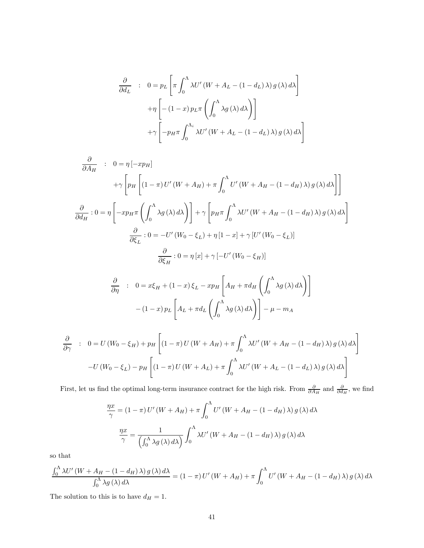$$
\frac{\partial}{\partial d_L} : 0 = p_L \left[ \pi \int_0^{\Lambda} \lambda U' (W + A_L - (1 - d_L) \lambda) g(\lambda) d\lambda \right]
$$

$$
+ \eta \left[ -(1 - x) p_L \pi \left( \int_0^{\Lambda} \lambda g(\lambda) d\lambda \right) \right]
$$

$$
+ \gamma \left[ -p_H \pi \int_0^{\Lambda_i} \lambda U' (W + A_L - (1 - d_L) \lambda) g(\lambda) d\lambda \right]
$$

$$
\frac{\partial}{\partial A_H} : 0 = \eta [-xp_H]
$$
  
+ $\gamma \left[ p_H \left[ (1 - \pi) U'(W + A_H) + \pi \int_0^{\Lambda} U'(W + A_H - (1 - d_H) \lambda) g(\lambda) d\lambda \right] \right]$   

$$
\frac{\partial}{\partial d_H} : 0 = \eta \left[ -xp_H \pi \left( \int_0^{\Lambda} \lambda g(\lambda) d\lambda \right) \right] + \gamma \left[ p_H \pi \int_0^{\Lambda} \lambda U'(W + A_H - (1 - d_H) \lambda) g(\lambda) d\lambda \right]
$$
  

$$
\frac{\partial}{\partial \xi_L} : 0 = -U'(W_0 - \xi_L) + \eta [1 - x] + \gamma [U'(W_0 - \xi_L)]
$$
  

$$
\frac{\partial}{\partial \xi_H} : 0 = \eta [x] + \gamma [-U'(W_0 - \xi_H)]
$$

$$
\frac{\partial}{\partial \eta} : 0 = x\xi_H + (1 - x)\xi_L - xp_H \left[ A_H + \pi d_H \left( \int_0^{\Lambda} \lambda g(\lambda) d\lambda \right) \right]
$$

$$
- (1 - x) p_L \left[ A_L + \pi d_L \left( \int_0^{\Lambda} \lambda g(\lambda) d\lambda \right) \right] - \mu - m_A
$$

$$
\frac{\partial}{\partial \gamma} : 0 = U(W_0 - \xi_H) + p_H \left[ (1 - \pi) U(W + A_H) + \pi \int_0^{\Lambda} \lambda U'(W + A_H - (1 - d_H) \lambda) g(\lambda) d\lambda \right]
$$

$$
-U(W_0 - \xi_L) - p_H \left[ (1 - \pi) U(W + A_L) + \pi \int_0^{\Lambda} \lambda U'(W + A_L - (1 - d_L) \lambda) g(\lambda) d\lambda \right]
$$

First, let us find the optimal long-term insurance contract for the high risk. From  $\frac{\partial}{\partial A_H}$  and  $\frac{\partial}{\partial d_H}$ , we find

$$
\frac{\eta x}{\gamma} = (1 - \pi) U'(W + A_H) + \pi \int_0^{\Lambda} U'(W + A_H - (1 - d_H) \lambda) g(\lambda) d\lambda
$$

$$
\frac{\eta x}{\gamma} = \frac{1}{\left(\int_0^{\Lambda} \lambda g(\lambda) d\lambda\right)} \int_0^{\Lambda} \lambda U'(W + A_H - (1 - d_H) \lambda) g(\lambda) d\lambda
$$

so that

$$
\frac{\int_0^\Lambda \lambda U'(W + A_H - (1 - d_H) \lambda) g(\lambda) d\lambda}{\int_0^\Lambda \lambda g(\lambda) d\lambda} = (1 - \pi) U'(W + A_H) + \pi \int_0^\Lambda U'(W + A_H - (1 - d_H) \lambda) g(\lambda) d\lambda
$$

The solution to this is to have  $d_H = 1$ .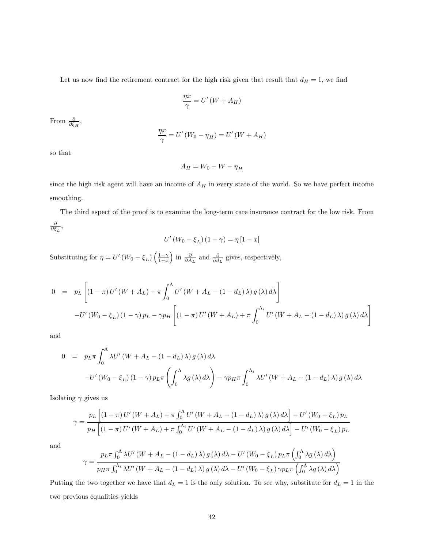Let us now find the retirement contract for the high risk given that result that  $d_H = 1$ , we find

$$
\frac{\eta x}{\gamma} = U'\left(W + A_H\right)
$$

From  $\frac{\partial}{\partial \xi_H}$ ,

$$
\frac{\eta x}{\gamma} = U'(W_0 - \eta_H) = U'(W + A_H)
$$

so that

$$
A_H = W_0 - W - \eta_H
$$

since the high risk agent will have an income of  $A_H$  in every state of the world. So we have perfect income smoothing.

The third aspect of the proof is to examine the long-term care insurance contract for the low risk. From  $\frac{\partial}{\partial \xi_L}$ ,

$$
U'\left(W_0 - \xi_L\right)\left(1 - \gamma\right) = \eta\left[1 - x\right]
$$

Substituting for  $\eta = U'(W_0 - \xi_L) \left( \frac{1-\gamma}{1-x} \right)$ ) in  $\frac{\partial}{\partial A_L}$  and  $\frac{\partial}{\partial d_L}$  gives, respectively,

$$
0 = p_L \left[ (1 - \pi) U'(W + A_L) + \pi \int_0^{\Lambda} U'(W + A_L - (1 - d_L) \lambda) g(\lambda) d\lambda \right]
$$
  

$$
-U'(W_0 - \xi_L) (1 - \gamma) p_L - \gamma p_H \left[ (1 - \pi) U'(W + A_L) + \pi \int_0^{\Lambda_i} U'(W + A_L - (1 - d_L) \lambda) g(\lambda) d\lambda \right]
$$

and

$$
0 = p_L \pi \int_0^{\Lambda} \lambda U'(W + A_L - (1 - d_L) \lambda) g(\lambda) d\lambda
$$
  
-U'(W<sub>0</sub> - \xi<sub>L</sub>) (1 - \gamma) p\_L \pi  $\left( \int_0^{\Lambda} \lambda g(\lambda) d\lambda \right)$  - \gamma p\_H \pi  $\int_0^{\Lambda_i} \lambda U'(W + A_L - (1 - d_L) \lambda) g(\lambda) d\lambda$ 

Isolating  $\gamma$  gives us

$$
\gamma = \frac{p_L \left[ \left( 1 - \pi \right) U'(W + A_L) + \pi \int_0^{\Lambda} U'(W + A_L - (1 - d_L) \lambda) g(\lambda) d\lambda \right] - U'(W_0 - \xi_L) p_L}{p_H \left[ \left( 1 - \pi \right) U'(W + A_L) + \pi \int_0^{\Lambda_i} U'(W + A_L - (1 - d_L) \lambda) g(\lambda) d\lambda \right] - U'(W_0 - \xi_L) p_L}
$$

and

$$
\gamma = \frac{p_L \pi \int_0^{\Lambda} \lambda U' \left( W + A_L - (1 - d_L) \lambda \right) g \left( \lambda \right) d\lambda - U' \left( W_0 - \xi_L \right) p_L \pi \left( \int_0^{\Lambda} \lambda g \left( \lambda \right) d\lambda \right)}{p_H \pi \int_0^{\Lambda_i} \lambda U' \left( W + A_L - (1 - d_L) \lambda \right) g \left( \lambda \right) d\lambda - U' \left( W_0 - \xi_L \right) \gamma p_L \pi \left( \int_0^{\Lambda} \lambda g \left( \lambda \right) d\lambda \right)}
$$

Putting the two together we have that  $d_L = 1$  is the only solution. To see why, substitute for  $d_L = 1$  in the two previous equalities yields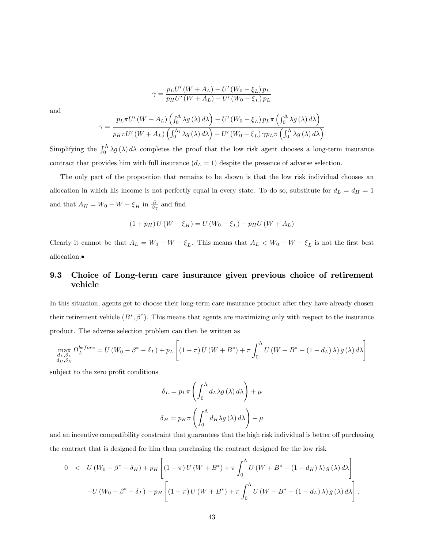$$
\gamma = \frac{p_L U'(W + A_L) - U'(W_0 - \xi_L) p_L}{p_H U'(W + A_L) - U'(W_0 - \xi_L) p_L}
$$

and

$$
\gamma = \frac{p_L \pi U'(W + A_L) \left( \int_0^{\Lambda} \lambda g(\lambda) d\lambda \right) - U'(W_0 - \xi_L) p_L \pi \left( \int_0^{\Lambda} \lambda g(\lambda) d\lambda \right)}{p_H \pi U'(W + A_L) \left( \int_0^{\Lambda_i} \lambda g(\lambda) d\lambda \right) - U'(W_0 - \xi_L) \gamma p_L \pi \left( \int_0^{\Lambda} \lambda g(\lambda) d\lambda \right)}
$$

Simplifying the  $\int_0^{\Lambda} \lambda g(\lambda) d\lambda$  completes the proof that the low risk agent chooses a long-term insurance contract that provides him with full insurance  $(d<sub>L</sub> = 1)$  despite the presence of adverse selection.

The only part of the proposition that remains to be shown is that the low risk individual chooses an allocation in which his income is not perfectly equal in every state. To do so, substitute for  $d_L = d_H = 1$ and that  $A_H = W_0 - W - \xi_H$  in  $\frac{\partial}{\partial \gamma}$  and find

$$
(1 + pH) U (W - \xiH) = U (W0 - \xiL) + pH U (W + AL)
$$

Clearly it cannot be that  $A_L = W_0 - W - \xi_L$ . This means that  $A_L < W_0 - W - \xi_L$  is not the first best allocation.•

## 9.3 Choice of Long-term care insurance given previous choice of retirement vehicle

In this situation, agents get to choose their long-term care insurance product after they have already chosen their retirement vehicle  $(B^*, \beta^*)$ . This means that agents are maximizing only with respect to the insurance product. The adverse selection problem can then be written as

$$
\max_{\substack{d_L, \delta_L \\ d_H, \delta_H}} \Omega_L^{before} = U(W_0 - \beta^* - \delta_L) + p_L \left[ (1 - \pi) U(W + B^*) + \pi \int_0^{\Lambda} U(W + B^* - (1 - d_L) \lambda) g(\lambda) d\lambda \right]
$$

subject to the zero profit conditions

$$
\delta_L = p_L \pi \left( \int_0^{\Lambda} d_L \lambda g(\lambda) d\lambda \right) + \mu
$$

$$
\delta_H = p_H \pi \left( \int_0^{\Lambda} d_H \lambda g(\lambda) d\lambda \right) + \mu
$$

and an incentive compatibility constraint that guarantees that the high risk individual is better off purchasing the contract that is designed for him than purchasing the contract designed for the low risk

$$
0 < U (W_0 - \beta^* - \delta_H) + p_H \left[ (1 - \pi) U (W + B^*) + \pi \int_0^{\Lambda} U (W + B^*) - (1 - d_H) \lambda) g(\lambda) d\lambda \right] - U (W_0 - \beta^* - \delta_L) - p_H \left[ (1 - \pi) U (W + B^*) + \pi \int_0^{\Lambda} U (W + B^*) - (1 - d_L) \lambda) g(\lambda) d\lambda \right].
$$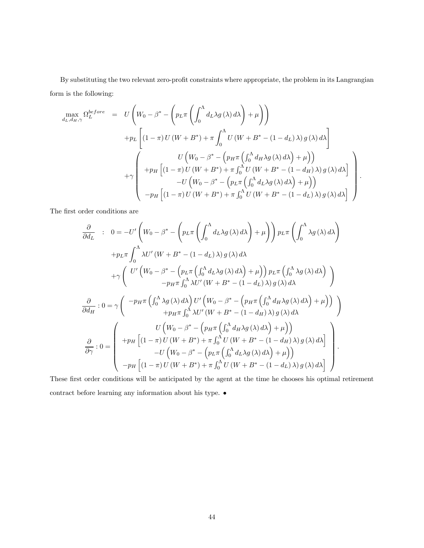By substituting the two relevant zero-profit constraints where appropriate, the problem in its Langrangian form is the following:

$$
\begin{array}{rcl}\n\max_{d_L, d_H, \gamma} \Omega_L^{before} & = & U\left(W_0 - \beta^* - \left(p_L \pi \left(\int_0^\Lambda d_L \lambda g(\lambda) \, d\lambda\right) + \mu\right)\right) \\
& & + p_L \left[ (1 - \pi) U\left(W + B^*\right) + \pi \int_0^\Lambda U\left(W + B^* - (1 - d_L)\,\lambda\right) g(\lambda) \, d\lambda\right] \\
& & + \gamma \left( \begin{array}{c} U\left(W_0 - \beta^* - \left(p_H \pi \left(\int_0^\Lambda d_H \lambda g(\lambda) \, d\lambda\right) + \mu\right) \right) \\
& & + \gamma \left( (1 - \pi) U\left(W + B^*\right) + \pi \int_0^\Lambda U\left(W + B^* - (1 - d_H)\,\lambda\right) g(\lambda) \, d\lambda\right] \\
& & - U\left(W_0 - \beta^* - \left(p_L \pi \left(\int_0^\Lambda d_L \lambda g(\lambda) \, d\lambda\right) + \mu\right) \right) \\
& & - p_H \left[ (1 - \pi) U\left(W + B^*\right) + \pi \int_0^\Lambda U\left(W + B^* - (1 - d_L)\,\lambda\right) g(\lambda) \, d\lambda\right]\n\end{array}\n\right).
$$

The first order conditions are

$$
\frac{\partial}{\partial d_L} : 0 = -U' \left( W_0 - \beta^* - \left( p_L \pi \left( \int_0^{\Lambda} d_L \lambda g(\lambda) d\lambda \right) + \mu \right) \right) p_L \pi \left( \int_0^{\Lambda} \lambda g(\lambda) d\lambda \right)
$$

$$
+ p_L \pi \int_0^{\Lambda} \lambda U' (W + B^* - (1 - d_L) \lambda) g(\lambda) d\lambda
$$

$$
+ \gamma \left( U' \left( W_0 - \beta^* - \left( p_L \pi \left( \int_0^{\Lambda} d_L \lambda g(\lambda) d\lambda \right) + \mu \right) \right) p_L \pi \left( \int_0^{\Lambda} \lambda g(\lambda) d\lambda \right) \right)
$$

$$
- p_H \pi \int_0^{\Lambda} \lambda U' (W + B^* - (1 - d_L) \lambda) g(\lambda) d\lambda
$$

$$
\frac{\partial}{\partial d_H} : 0 = \gamma \left( \begin{array}{c} -p_H \pi \left( \int_0^{\Lambda} \lambda g(\lambda) d\lambda \right) U' \left( W_0 - \beta^* - \left( p_H \pi \left( \int_0^{\Lambda} d_H \lambda g(\lambda) d\lambda \right) + \mu \right) \right) \\ + p_H \pi \int_0^{\Lambda} \lambda U' (W + B^* - (1 - d_H) \lambda) g(\lambda) d\lambda \end{array} \right)
$$

$$
\frac{\partial}{\partial \gamma} : 0 = \left( \begin{array}{c} U \left( W_0 - \beta^* - \left( p_H \pi \left( \int_0^{\Lambda} d_H \lambda g(\lambda) d\lambda \right) + \mu \right) \right) \\ + p_H \left[ (1 - \pi) U (W + B^*) + \pi \int_0^{\Lambda} U (W + B^* - (1 - d_H) \lambda) g(\lambda) d\lambda \right] \\ - U \left( W_0 - \beta^* - \left( p_L \pi \left( \int_0^{\Lambda} d_L \lambda g(\lambda) d\lambda \right) + \mu \right) \right) \\ - p_H \left[ (1 - \pi) U (W + B^*) + \pi \int_0^{\Lambda} U (W + B^* - (1 - d_L) \lambda) g(\lambda) d\lambda \right] \end{array} \right).
$$

These first order conditions will be anticipated by the agent at the time he chooses his optimal retirement contract before learning any information about his type. •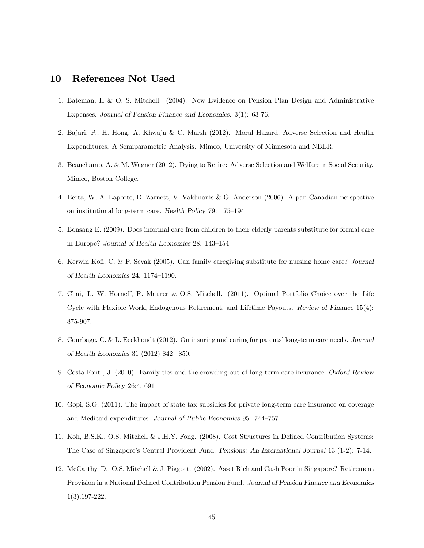## 10 References Not Used

- 1. Bateman, H & O. S. Mitchell. (2004). New Evidence on Pension Plan Design and Administrative Expenses. Journal of Pension Finance and Economics. 3(1): 63-76.
- 2. Bajari, P., H. Hong, A. Khwaja & C. Marsh (2012). Moral Hazard, Adverse Selection and Health Expenditures: A Semiparametric Analysis. Mimeo, University of Minnesota and NBER.
- 3. Beauchamp, A. & M. Wagner (2012). Dying to Retire: Adverse Selection and Welfare in Social Security. Mimeo, Boston College.
- 4. Berta, W, A. Laporte, D. Zarnett, V. Valdmanis & G. Anderson (2006). A pan-Canadian perspective on institutional long-term care. Health Policy 79: 175—194
- 5. Bonsang E. (2009). Does informal care from children to their elderly parents substitute for formal care in Europe? Journal of Health Economics 28: 143—154
- 6. Kerwin Kofi, C. & P. Sevak (2005). Can family caregiving substitute for nursing home care? Journal of Health Economics 24: 1174—1190.
- 7. Chai, J., W. Horneff, R. Maurer & O.S. Mitchell. (2011). Optimal Portfolio Choice over the Life Cycle with Flexible Work, Endogenous Retirement, and Lifetime Payouts. Review of Finance 15(4): 875-907.
- 8. Courbage, C. & L. Eeckhoudt (2012). On insuring and caring for parents' long-term care needs. Journal of Health Economics 31 (2012) 842— 850.
- 9. Costa-Font , J. (2010). Family ties and the crowding out of long-term care insurance. Oxford Review of Economic Policy 26:4, 691
- 10. Gopi, S.G. (2011). The impact of state tax subsidies for private long-term care insurance on coverage and Medicaid expenditures. Journal of Public Economics 95: 744—757.
- 11. Koh, B.S.K., O.S. Mitchell & J.H.Y. Fong. (2008). Cost Structures in Defined Contribution Systems: The Case of Singapore's Central Provident Fund. Pensions: An International Journal 13 (1-2): 7-14.
- 12. McCarthy, D., O.S. Mitchell & J. Piggott. (2002). Asset Rich and Cash Poor in Singapore? Retirement Provision in a National Defined Contribution Pension Fund. Journal of Pension Finance and Economics 1(3):197-222.